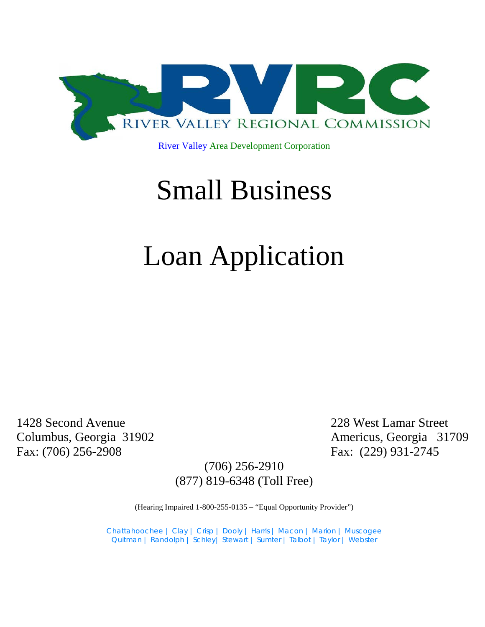

River Valley Area Development Corporation

# Small Business

# Loan Application

1428 Second Avenue 228 West Lamar Street Columbus, Georgia 31902 Americus, Georgia 31709 Fax: (706) 256-2908 Fax: (229) 931-2745

(706) 256-2910 (877) 819-6348 (Toll Free)

(Hearing Impaired 1-800-255-0135 – "Equal Opportunity Provider")

Chattahoochee | Clay | Crisp | Dooly | Harris | Macon | Marion | Muscogee Quitman | Randolph | Schley| Stewart | Sumter | Talbot | Taylor | Webster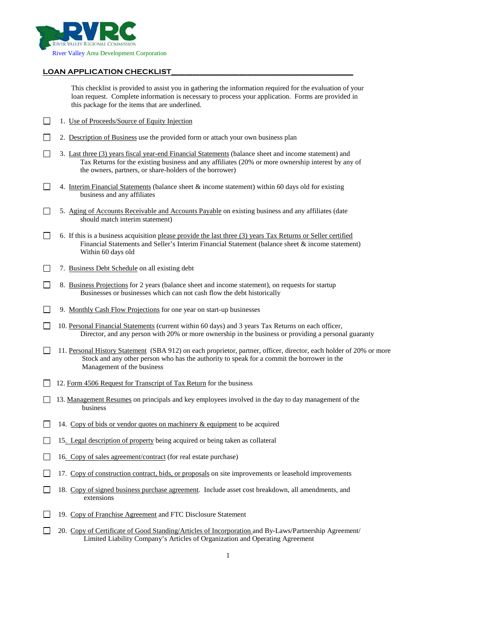

#### **LOAN APPLICATION CHECKLIST\_\_\_\_\_\_\_\_\_\_\_\_\_\_\_\_\_\_\_\_\_\_\_\_\_\_\_\_\_\_\_\_\_\_\_\_\_\_\_\_\_\_\_\_\_\_\_\_\_\_\_**

This checklist is provided to assist you in gathering the information required for the evaluation of your loan request. Complete information is necessary to process your application. Forms are provided in this package for the items that are underlined.

- □ 1. Use of Proceeds/Source of Equity Injection
- 2. Description of Business use the provided form or attach your own business plan
- 3. Last three (3) years fiscal year-end Financial Statements (balance sheet and income statement) and Tax Returns for the existing business and any affiliates (20% or more ownership interest by any of the owners, partners, or share-holders of the borrower)
- 4. Interim Financial Statements (balance sheet  $\&$  income statement) within 60 days old for existing business and any affiliates
- 5. Aging of Accounts Receivable and Accounts Payable on existing business and any affiliates (date should match interim statement)
- 6. If this is a business acquisition please provide the last three (3) years Tax Returns or Seller certified Financial Statements and Seller's Interim Financial Statement (balance sheet & income statement) Within 60 days old
- 7. Business Debt Schedule on all existing debt
- 8. Business Projections for 2 years (balance sheet and income statement), on requests for startup Businesses or businesses which can not cash flow the debt historically
- 9. Monthly Cash Flow Projections for one year on start-up businesses
- 10. Personal Financial Statements (current within 60 days) and 3 years Tax Returns on each officer, Director, and any person with 20% or more ownership in the business or providing a personal guaranty
- 11. Personal History Statement (SBA 912) on each proprietor, partner, officer, director, each holder of 20% or more Stock and any other person who has the authority to speak for a commit the borrower in the Management of the business
- 12. Form 4506 Request for Transcript of Tax Return for the business
- $\Box$  13. Management Resumes on principals and key employees involved in the day to day management of the business
- 14. Copy of bids or vendor quotes on machinery  $\&$  equipment to be acquired
- 15. Legal description of property being acquired or being taken as collateral
- 16. Copy of sales agreement/contract (for real estate purchase)  $\perp$
- 17. Copy of construction contract, bids, or proposals on site improvements or leasehold improvements
- 18. Copy of signed business purchase agreement. Include asset cost breakdown, all amendments, and extensions
- 19. Copy of Franchise Agreement and FTC Disclosure Statement
- 20. Copy of Certificate of Good Standing/Articles of Incorporation and By-Laws/Partnership Agreement/ Limited Liability Company's Articles of Organization and Operating Agreement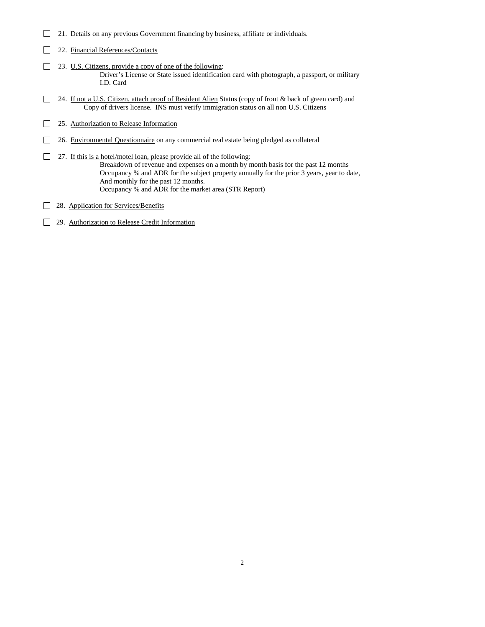- 21. Details on any previous Government financing by business, affiliate or individuals.
- 22. Financial References/Contacts
- 23. U.S. Citizens, provide a copy of one of the following: Driver's License or State issued identification card with photograph, a passport, or military I.D. Card
- 24. If not a U.S. Citizen, attach proof of Resident Alien Status (copy of front & back of green card) and Copy of drivers license. INS must verify immigration status on all non U.S. Citizens
- 25. Authorization to Release Information
- 26. Environmental Questionnaire on any commercial real estate being pledged as collateral
- 27. If this is a hotel/motel loan, please provide all of the following: Breakdown of revenue and expenses on a month by month basis for the past 12 months Occupancy % and ADR for the subject property annually for the prior 3 years, year to date, And monthly for the past 12 months.

Occupancy % and ADR for the market area (STR Report)

- 28. Application for Services/Benefits
- 29. Authorization to Release Credit Information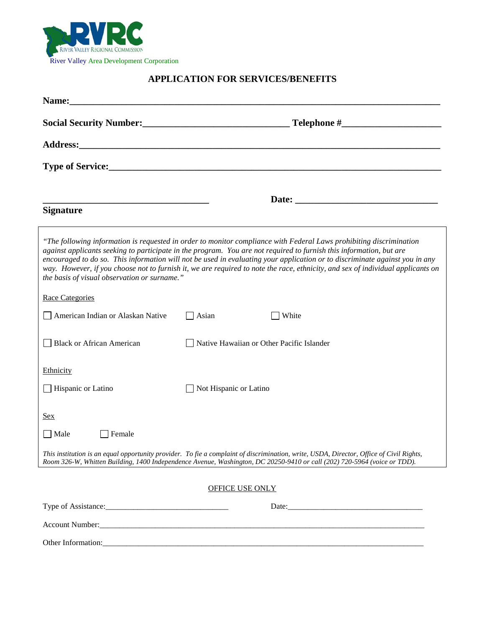

### **APPLICATION FOR SERVICES/BENEFITS**

| Name:                                         |                                                                                                                                                                                                                                                                                                                                                                                                                                                                                                              |
|-----------------------------------------------|--------------------------------------------------------------------------------------------------------------------------------------------------------------------------------------------------------------------------------------------------------------------------------------------------------------------------------------------------------------------------------------------------------------------------------------------------------------------------------------------------------------|
|                                               |                                                                                                                                                                                                                                                                                                                                                                                                                                                                                                              |
|                                               |                                                                                                                                                                                                                                                                                                                                                                                                                                                                                                              |
|                                               |                                                                                                                                                                                                                                                                                                                                                                                                                                                                                                              |
| <b>Signature</b>                              |                                                                                                                                                                                                                                                                                                                                                                                                                                                                                                              |
| the basis of visual observation or surname."  | "The following information is requested in order to monitor compliance with Federal Laws prohibiting discrimination<br>against applicants seeking to participate in the program. You are not required to furnish this information, but are<br>encouraged to do so. This information will not be used in evaluating your application or to discriminate against you in any<br>way. However, if you choose not to furnish it, we are required to note the race, ethnicity, and sex of individual applicants on |
| <b>Race Categories</b>                        |                                                                                                                                                                                                                                                                                                                                                                                                                                                                                                              |
| American Indian or Alaskan Native             | Asian<br>White                                                                                                                                                                                                                                                                                                                                                                                                                                                                                               |
| <b>Black or African American</b>              | Native Hawaiian or Other Pacific Islander                                                                                                                                                                                                                                                                                                                                                                                                                                                                    |
| Ethnicity                                     |                                                                                                                                                                                                                                                                                                                                                                                                                                                                                                              |
| Hispanic or Latino                            | Not Hispanic or Latino                                                                                                                                                                                                                                                                                                                                                                                                                                                                                       |
| Sex                                           |                                                                                                                                                                                                                                                                                                                                                                                                                                                                                                              |
| $\Box$ Male<br>Female                         |                                                                                                                                                                                                                                                                                                                                                                                                                                                                                                              |
|                                               | This institution is an equal opportunity provider. To fie a complaint of discrimination, write, USDA, Director, Office of Civil Rights,<br>Room 326-W, Whitten Building, 1400 Independence Avenue, Washington, DC 20250-9410 or call (202) 720-5964 (voice or TDD).                                                                                                                                                                                                                                          |
|                                               | <b>OFFICE USE ONLY</b>                                                                                                                                                                                                                                                                                                                                                                                                                                                                                       |
| Type of Assistance: 1986. Type of Assistance: |                                                                                                                                                                                                                                                                                                                                                                                                                                                                                                              |
|                                               |                                                                                                                                                                                                                                                                                                                                                                                                                                                                                                              |
|                                               | Other Information: 2000 and 2000 and 2000 and 2000 and 2000 and 2000 and 2000 and 2000 and 2000 and 2000 and 2000 and 2000 and 2000 and 2000 and 2000 and 2000 and 2000 and 2000 and 2000 and 2000 and 2000 and 2000 and 2000                                                                                                                                                                                                                                                                                |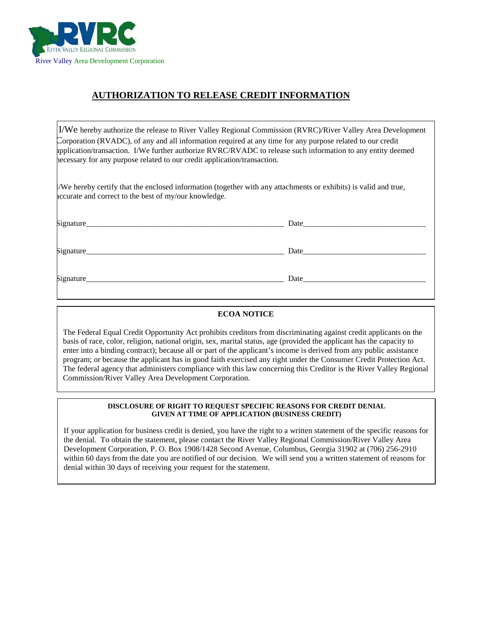

# **AUTHORIZATION TO RELEASE CREDIT INFORMATION**

I/We hereby authorize the release to River Valley Regional Commission (RVRC)/River Valley Area Development Corporation (RVADC), of any and all information required at any time for any purpose related to our credit application/transaction. I/We further authorize RVRC/RVADC to release such information to any entity deemed necessary for any purpose related to our credit application/transaction.

I/We hereby certify that the enclosed information (together with any attachments or exhibits) is valid and true, accurate and correct to the best of my/our knowledge.

| Signature_ | Date |
|------------|------|
| Signature_ | Date |
| Signature_ | Date |

#### **ECOA NOTICE**

The Federal Equal Credit Opportunity Act prohibits creditors from discriminating against credit applicants on the basis of race, color, religion, national origin, sex, marital status, age (provided the applicant has the capacity to enter into a binding contract); because all or part of the applicant's income is derived from any public assistance program; or because the applicant has in good faith exercised any right under the Consumer Credit Protection Act. The federal agency that administers compliance with this law concerning this Creditor is the River Valley Regional Commission/River Valley Area Development Corporation.

#### **DISCLOSURE OF RIGHT TO REQUEST SPECIFIC REASONS FOR CREDIT DENIAL GIVEN AT TIME OF APPLICATION (BUSINESS CREDIT)**

If your application for business credit is denied, you have the right to a written statement of the specific reasons for the denial. To obtain the statement, please contact the River Valley Regional Commission/River Valley Area Development Corporation, P. O. Box 1908/1428 Second Avenue, Columbus, Georgia 31902 at (706) 256-2910 within 60 days from the date you are notified of our decision. We will send you a written statement of reasons for denial within 30 days of receiving your request for the statement.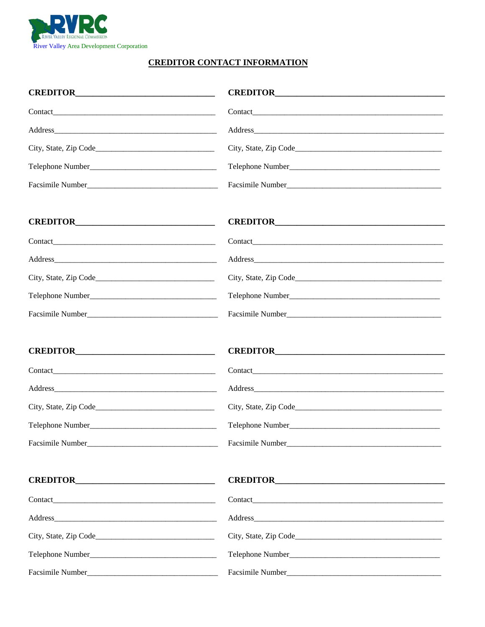

# **CREDITOR CONTACT INFORMATION**

| Contact <u>Contact Contact Contact</u> |
|----------------------------------------|
|                                        |
|                                        |
|                                        |
|                                        |
|                                        |
|                                        |
|                                        |
|                                        |
|                                        |
|                                        |
|                                        |
|                                        |
| $\text{Context}\_$                     |
|                                        |
|                                        |
|                                        |
|                                        |
|                                        |
|                                        |
|                                        |
|                                        |
|                                        |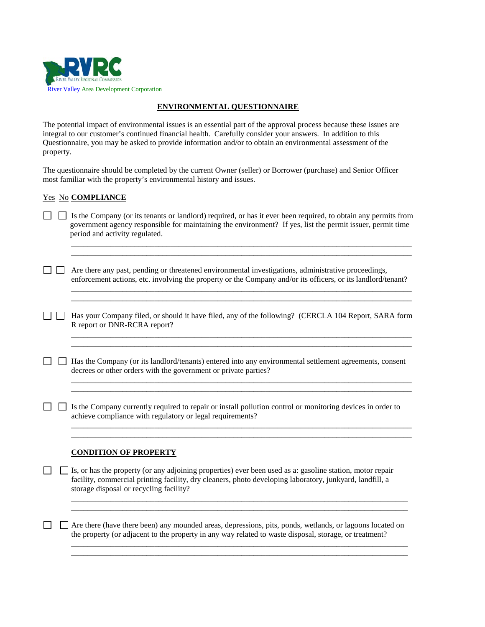

#### **ENVIRONMENTAL QUESTIONNAIRE**

The potential impact of environmental issues is an essential part of the approval process because these issues are integral to our customer's continued financial health. Carefully consider your answers. In addition to this Questionnaire, you may be asked to provide information and/or to obtain an environmental assessment of the property.

The questionnaire should be completed by the current Owner (seller) or Borrower (purchase) and Senior Officer most familiar with the property's environmental history and issues.

#### Yes No **COMPLIANCE**

 Is the Company (or its tenants or landlord) required, or has it ever been required, to obtain any permits from government agency responsible for maintaining the environment? If yes, list the permit issuer, permit time period and activity regulated.

\_\_\_\_\_\_\_\_\_\_\_\_\_\_\_\_\_\_\_\_\_\_\_\_\_\_\_\_\_\_\_\_\_\_\_\_\_\_\_\_\_\_\_\_\_\_\_\_\_\_\_\_\_\_\_\_\_\_\_\_\_\_\_\_\_\_\_\_\_\_\_\_\_\_\_\_\_\_\_\_\_\_\_\_\_\_ \_\_\_\_\_\_\_\_\_\_\_\_\_\_\_\_\_\_\_\_\_\_\_\_\_\_\_\_\_\_\_\_\_\_\_\_\_\_\_\_\_\_\_\_\_\_\_\_\_\_\_\_\_\_\_\_\_\_\_\_\_\_\_\_\_\_\_\_\_\_\_\_\_\_\_\_\_\_\_\_\_\_\_\_\_\_

\_\_\_\_\_\_\_\_\_\_\_\_\_\_\_\_\_\_\_\_\_\_\_\_\_\_\_\_\_\_\_\_\_\_\_\_\_\_\_\_\_\_\_\_\_\_\_\_\_\_\_\_\_\_\_\_\_\_\_\_\_\_\_\_\_\_\_\_\_\_\_\_\_\_\_\_\_\_\_\_\_\_\_\_\_\_ \_\_\_\_\_\_\_\_\_\_\_\_\_\_\_\_\_\_\_\_\_\_\_\_\_\_\_\_\_\_\_\_\_\_\_\_\_\_\_\_\_\_\_\_\_\_\_\_\_\_\_\_\_\_\_\_\_\_\_\_\_\_\_\_\_\_\_\_\_\_\_\_\_\_\_\_\_\_\_\_\_\_\_\_\_\_

\_\_\_\_\_\_\_\_\_\_\_\_\_\_\_\_\_\_\_\_\_\_\_\_\_\_\_\_\_\_\_\_\_\_\_\_\_\_\_\_\_\_\_\_\_\_\_\_\_\_\_\_\_\_\_\_\_\_\_\_\_\_\_\_\_\_\_\_\_\_\_\_\_\_\_\_\_\_\_\_\_\_\_\_\_\_

\_\_\_\_\_\_\_\_\_\_\_\_\_\_\_\_\_\_\_\_\_\_\_\_\_\_\_\_\_\_\_\_\_\_\_\_\_\_\_\_\_\_\_\_\_\_\_\_\_\_\_\_\_\_\_\_\_\_\_\_\_\_\_\_\_\_\_\_\_\_\_\_\_\_\_\_\_\_\_\_\_\_\_\_\_\_ \_\_\_\_\_\_\_\_\_\_\_\_\_\_\_\_\_\_\_\_\_\_\_\_\_\_\_\_\_\_\_\_\_\_\_\_\_\_\_\_\_\_\_\_\_\_\_\_\_\_\_\_\_\_\_\_\_\_\_\_\_\_\_\_\_\_\_\_\_\_\_\_\_\_\_\_\_\_\_\_\_\_\_\_\_\_

\_\_\_\_\_\_\_\_\_\_\_\_\_\_\_\_\_\_\_\_\_\_\_\_\_\_\_\_\_\_\_\_\_\_\_\_\_\_\_\_\_\_\_\_\_\_\_\_\_\_\_\_\_\_\_\_\_\_\_\_\_\_\_\_\_\_\_\_\_\_\_\_\_\_\_\_\_\_\_\_\_\_\_\_\_\_ \_\_\_\_\_\_\_\_\_\_\_\_\_\_\_\_\_\_\_\_\_\_\_\_\_\_\_\_\_\_\_\_\_\_\_\_\_\_\_\_\_\_\_\_\_\_\_\_\_\_\_\_\_\_\_\_\_\_\_\_\_\_\_\_\_\_\_\_\_\_\_\_\_\_\_\_\_\_\_\_\_\_\_\_\_\_

\_\_\_\_\_\_\_\_\_\_\_\_\_\_\_\_\_\_\_\_\_\_\_\_\_\_\_\_\_\_\_\_\_\_\_\_\_\_\_\_\_\_\_\_\_\_\_\_\_\_\_\_\_\_\_\_\_\_\_\_\_\_\_\_\_\_\_\_\_\_\_\_\_\_\_\_\_\_\_\_\_\_\_\_\_ \_\_\_\_\_\_\_\_\_\_\_\_\_\_\_\_\_\_\_\_\_\_\_\_\_\_\_\_\_\_\_\_\_\_\_\_\_\_\_\_\_\_\_\_\_\_\_\_\_\_\_\_\_\_\_\_\_\_\_\_\_\_\_\_\_\_\_\_\_\_\_\_\_\_\_\_\_\_\_\_\_\_\_\_\_

\_\_\_\_\_\_\_\_\_\_\_\_\_\_\_\_\_\_\_\_\_\_\_\_\_\_\_\_\_\_\_\_\_\_\_\_\_\_\_\_\_\_\_\_\_\_\_\_\_\_\_\_\_\_\_\_\_\_\_\_\_\_\_\_\_\_\_\_\_\_\_\_\_\_\_\_\_\_\_\_\_\_\_\_\_ \_\_\_\_\_\_\_\_\_\_\_\_\_\_\_\_\_\_\_\_\_\_\_\_\_\_\_\_\_\_\_\_\_\_\_\_\_\_\_\_\_\_\_\_\_\_\_\_\_\_\_\_\_\_\_\_\_\_\_\_\_\_\_\_\_\_\_\_\_\_\_\_\_\_\_\_\_\_\_\_\_\_\_\_\_

 $\Box$  Are there any past, pending or threatened environmental investigations, administrative proceedings, enforcement actions, etc. involving the property or the Company and/or its officers, or its landlord/tenant?

 Has your Company filed, or should it have filed, any of the following? (CERCLA 104 Report, SARA form R report or DNR-RCRA report?

□ Has the Company (or its landlord/tenants) entered into any environmental settlement agreements, consent decrees or other orders with the government or private parties?

 $\Box$  Is the Company currently required to repair or install pollution control or monitoring devices in order to achieve compliance with regulatory or legal requirements?

#### **CONDITION OF PROPERTY**

\_\_\_\_\_\_\_\_\_\_\_\_\_\_\_\_\_\_\_\_\_\_\_\_\_\_\_\_\_\_\_\_\_\_\_\_\_\_\_\_\_\_\_\_\_\_\_\_\_\_\_\_\_\_\_\_\_\_\_\_\_\_\_\_\_\_\_\_\_\_\_\_\_\_\_\_\_\_\_\_\_\_\_\_\_\_

 $\Box$  Is, or has the property (or any adjoining properties) ever been used as a: gasoline station, motor repair facility, commercial printing facility, dry cleaners, photo developing laboratory, junkyard, landfill, a storage disposal or recycling facility?

 $\Box$  Are there (have there been) any mounded areas, depressions, pits, ponds, wetlands, or lagoons located on the property (or adjacent to the property in any way related to waste disposal, storage, or treatment?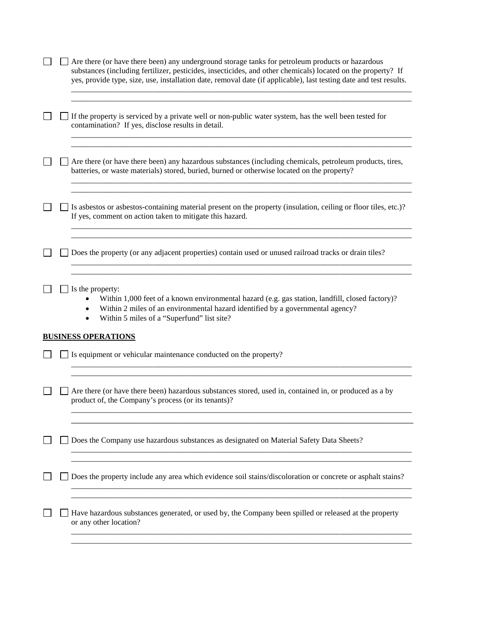| Are there (or have there been) any underground storage tanks for petroleum products or hazardous<br>substances (including fertilizer, pesticides, insecticides, and other chemicals) located on the property? If<br>yes, provide type, size, use, installation date, removal date (if applicable), last testing date and test results. |
|----------------------------------------------------------------------------------------------------------------------------------------------------------------------------------------------------------------------------------------------------------------------------------------------------------------------------------------|
| If the property is serviced by a private well or non-public water system, has the well been tested for<br>contamination? If yes, disclose results in detail.                                                                                                                                                                           |
| Are there (or have there been) any hazardous substances (including chemicals, petroleum products, tires,<br>batteries, or waste materials) stored, buried, burned or otherwise located on the property?                                                                                                                                |
| Is asbestos or asbestos-containing material present on the property (insulation, ceiling or floor tiles, etc.)?<br>If yes, comment on action taken to mitigate this hazard.                                                                                                                                                            |
| Does the property (or any adjacent properties) contain used or unused railroad tracks or drain tiles?                                                                                                                                                                                                                                  |
| Is the property:<br>Within 1,000 feet of a known environmental hazard (e.g. gas station, landfill, closed factory)?<br>Within 2 miles of an environmental hazard identified by a governmental agency?<br>٠<br>Within 5 miles of a "Superfund" list site?<br>٠                                                                          |
| <b>BUSINESS OPERATIONS</b><br>Is equipment or vehicular maintenance conducted on the property?                                                                                                                                                                                                                                         |
| Are there (or have there been) hazardous substances stored, used in, contained in, or produced as a by<br>product of, the Company's process (or its tenants)?                                                                                                                                                                          |
| Does the Company use hazardous substances as designated on Material Safety Data Sheets?                                                                                                                                                                                                                                                |
| Does the property include any area which evidence soil stains/discoloration or concrete or asphalt stains?                                                                                                                                                                                                                             |
| Have hazardous substances generated, or used by, the Company been spilled or released at the property<br>or any other location?                                                                                                                                                                                                        |
|                                                                                                                                                                                                                                                                                                                                        |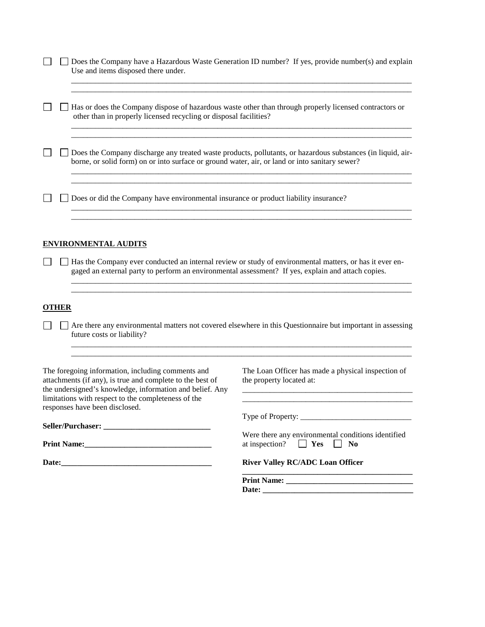|              | Use and items disposed there under.                                                                                                                                                                                               | Does the Company have a Hazardous Waste Generation ID number? If yes, provide number(s) and explain             |  |
|--------------|-----------------------------------------------------------------------------------------------------------------------------------------------------------------------------------------------------------------------------------|-----------------------------------------------------------------------------------------------------------------|--|
|              | other than in properly licensed recycling or disposal facilities?                                                                                                                                                                 | Has or does the Company dispose of hazardous waste other than through properly licensed contractors or          |  |
|              | Does the Company discharge any treated waste products, pollutants, or hazardous substances (in liquid, air-<br>borne, or solid form) on or into surface or ground water, air, or land or into sanitary sewer?                     |                                                                                                                 |  |
|              | Does or did the Company have environmental insurance or product liability insurance?                                                                                                                                              |                                                                                                                 |  |
|              | <b>ENVIRONMENTAL AUDITS</b><br>gaged an external party to perform an environmental assessment? If yes, explain and attach copies.                                                                                                 | Has the Company ever conducted an internal review or study of environmental matters, or has it ever en-         |  |
| <b>OTHER</b> | future costs or liability?                                                                                                                                                                                                        | Are there any environmental matters not covered elsewhere in this Questionnaire but important in assessing      |  |
|              | The foregoing information, including comments and<br>attachments (if any), is true and complete to the best of<br>the undersigned's knowledge, information and belief. Any<br>limitations with respect to the completeness of the | The Loan Officer has made a physical inspection of<br>the property located at:                                  |  |
|              | responses have been disclosed.                                                                                                                                                                                                    |                                                                                                                 |  |
|              | Print Name: 1988                                                                                                                                                                                                                  | Were there any environmental conditions identified<br>at inspection?<br>$\Box$ Yes<br><b>No</b><br>$\mathbf{1}$ |  |
|              |                                                                                                                                                                                                                                   | <b>River Valley RC/ADC Loan Officer</b>                                                                         |  |
|              |                                                                                                                                                                                                                                   |                                                                                                                 |  |
|              |                                                                                                                                                                                                                                   |                                                                                                                 |  |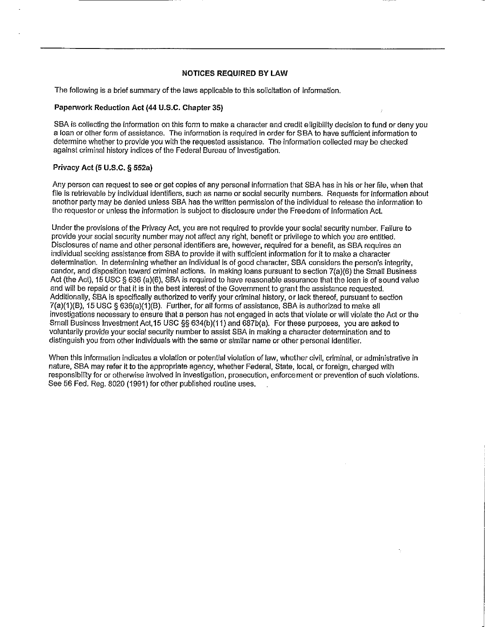#### **NOTICES REQUIRED BY LAW**

The following is a brief summary of the laws applicable to this solicitation of information.

#### Paperwork Reduction Act (44 U.S.C. Chapter 35)

SBA is collecting the information on this form to make a character and credit eligibility decision to fund or deny you a loan or other form of assistance. The information is required in order for SBA to have sufficient information to determine whether to provide you with the requested assistance. The information collected may be checked against criminal history indices of the Federal Bureau of Investigation.

#### Privacy Act (5 U.S.C. § 552a)

Any person can request to see or get copies of any personal information that SBA has in his or her file, when that file is retrievable by individual identifiers, such as name or social security numbers. Requests for information about another party may be denied unless SBA has the written permission of the individual to release the information to the requestor or unless the information is subject to disclosure under the Freedom of Information Act.

Under the provisions of the Privacy Act, you are not required to provide your social security number. Failure to provide your social security number may not affect any right, benefit or privilege to which you are entitled. Disclosures of name and other personal identifiers are, however, required for a benefit, as SBA requires an individual seeking assistance from SBA to provide it with sufficient information for it to make a character determination. In determining whether an individual is of good character, SBA considers the person's integrity, candor, and disposition toward criminal actions. In making loans pursuant to section 7(a)(6) the Small Business Act (the Act), 15 USC § 636 (a)(6), SBA is required to have reasonable assurance that the loan is of sound value and will be repaid or that it is in the best interest of the Government to grant the assistance requested. Additionally, SBA is specifically authorized to verify your criminal history, or lack thereof, pursuant to section  $7(a)(1)(B)$ , 15 USC § 636(a)(1)(B). Further, for all forms of assistance, SBA is authorized to make all investigations necessary to ensure that a person has not engaged in acts that violate or will violate the Act or the Small Business Investment Act, 15 USC §§ 634(b)(11) and 687b(a). For these purposes, you are asked to voluntarily provide your social security number to assist SBA in making a character determination and to distinguish you from other individuals with the same or similar name or other personal identifier.

When this information indicates a violation or potential violation of law, whether civil, criminal, or administrative in nature, SBA may refer it to the appropriate agency, whether Federal, State, local, or foreign, charged with responsibility for or otherwise involved in investigation, prosecution, enforcement or prevention of such violations. See 56 Fed. Reg. 8020 (1991) for other published routine uses.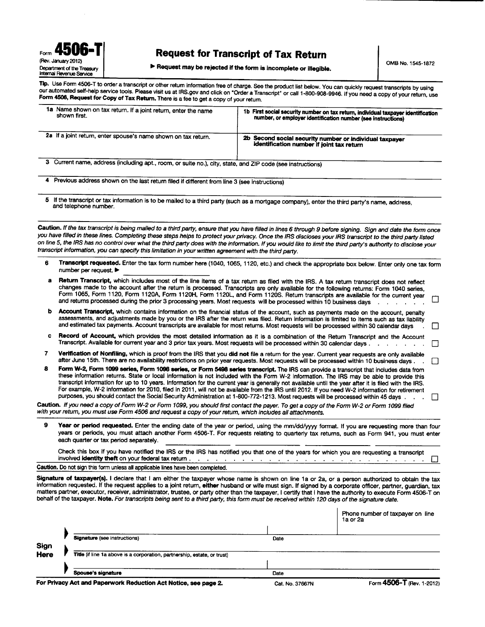# **Request for Transcript of Tax Return**

Request may be rejected if the form is incomplete or illegible.

Tip. Use Form 4506-T to order a transcript or other return information free of charge. See the product list below. You can quickly request transcripts by using our automated self-help service tools. Please visit us at IRS gov and click on "Order a Transcript" or call 1-800-908-9946. If you need a copy of your return, use Form 4506, Request for Copy of Tax Return. There is a fee to get a copy of your return.

| 1a Name shown on tax return. If a joint return, enter the name<br>shown first.                             | 1b First social security number on tax return, individual taxpayer identification<br>number, or employer identification number (see instructions) |
|------------------------------------------------------------------------------------------------------------|---------------------------------------------------------------------------------------------------------------------------------------------------|
| 2a If a joint return, enter spouse's name shown on tax return.                                             | 2b<br>Second social security number or individual taxpayer<br>identification number if joint tax return                                           |
| 3 Current name, address (including apt., room, or suite no.), city, state, and ZIP code (see instructions) |                                                                                                                                                   |
| Previous address shown on the last return filed if different from line 3 (see instructions)                |                                                                                                                                                   |

5 If the transcript or tax information is to be mailed to a third party (such as a mortgage company), enter the third party's name, address, and telephone number.

Caution. If the tax transcript is being mailed to a third party, ensure that you have filled in lines 6 through 9 before signing. Sign and date the form once you have filled in these lines. Completing these steps helps to protect your privacy. Once the IRS discloses your IRS transcript to the third party listed on line 5, the IRS has no control over what the third party does with the information. If you would like to limit the third party's authority to disclose your transcript information, you can specify this limitation in your written agreement with the third party.

6 Transcript requested. Enter the tax form number here (1040, 1065, 1120, etc.) and check the appropriate box below. Enter only one tax form number per request.

| a Return Transcript, which includes most of the line items of a tax return as filed with the IRS. A tax return transcript does not reflect<br>changes made to the account after the return is processed. Transcripts are only available for the following returns: Form 1040 series,<br>Form 1065, Form 1120, Form 1120A, Form 1120H, Form 1120L, and Form 1120S. Return transcripts are available for the current year<br>and returns processed during the prior 3 processing years. Most requests will be processed within 10 business days |  |
|-----------------------------------------------------------------------------------------------------------------------------------------------------------------------------------------------------------------------------------------------------------------------------------------------------------------------------------------------------------------------------------------------------------------------------------------------------------------------------------------------------------------------------------------------|--|
| b Account Transcript, which contains information on the financial status of the account, such as payments made on the account, penalty                                                                                                                                                                                                                                                                                                                                                                                                        |  |

- assessments, and adjustments made by you or the IRS after the return was filed. Return information is limited to items such as tax liability and estimated tax payments. Account transcripts are available for most returns. Most requests will be processed within 30 calendar days П
- Record of Account, which provides the most detailed information as it is a combination of the Return Transcript and the Account c Transcript. Available for current year and 3 prior tax years. Most requests will be processed within 30 calendar days.  $\Box$
- Verification of Nonfiling, which is proof from the IRS that you did not file a return for the year. Current year requests are only available 7 after June 15th. There are no availability restrictions on prior year requests. Most requests will be processed within 10 business days. □
- Form W-2, Form 1099 series, Form 1098 series, or Form 5498 series transcript. The IRS can provide a transcript that includes data from 8 these information returns. State or local information is not included with the Form W-2 information. The IRS may be able to provide this transcript information for up to 10 years. Information for the current year is generally not available until the year after it is filed with the IRS. For example, W-2 information for 2010, filed in 2011, will not be available from the IRS until 2012. If you need W-2 information for retirement purposes, you should contact the Social Security Administration at 1-800-772-1213. Most requests will be processed within 45 days.  $\Box$

Caution. If you need a copy of Form W-2 or Form 1099, you should first contact the payer. To get a copy of the Form W-2 or Form 1099 filed with your return, you must use Form 4506 and request a copy of your return, which includes all attachments.

9 Year or period requested. Enter the ending date of the year or period, using the mm/dd/yyyy format. If you are requesting more than four years or periods, you must attach another Form 4506-T. For requests relating to quarterly tax returns, such as Form 941, you must enter each quarter or tax period separately.

Check this box if you have notified the IRS or the IRS has notified you that one of the years for which you are requesting a transcript involved identity theft on your federal tax return . .  $\mathbf{1}$ 

Caution. Do not sign this form unless all applicable lines have been completed.

Signature of taxpayer(s). I declare that I am either the taxpayer whose name is shown on line 1a or 2a, or a person authorized to obtain the tax information requested. If the request applies to a joint return, either husband or wife must sign. If signed by a corporate officer, partner, quardian, tax matters partner, executor, receiver, administrator, trustee, or party other than the taxpayer, I certify that I have the authority to execute Form 4506-T on behalf of the taxpayer. Note. For transcripts being sent to a third party, this form must be received within 120 days of the signature date.

|                     |                                                                          |                     | Phone number of taxpayer on line<br>1a or 2a |
|---------------------|--------------------------------------------------------------------------|---------------------|----------------------------------------------|
|                     |                                                                          |                     |                                              |
|                     | <b>Signature (see instructions)</b>                                      | Date                |                                              |
| Sign<br><b>Here</b> | Title (if line 1a above is a corporation, partnership, estate, or trust) |                     |                                              |
|                     |                                                                          |                     |                                              |
|                     | Spouse's signature                                                       | Date                |                                              |
|                     | Ear Drivagu Ant and Department Deduction Ant Netten, and some A          | $A$ , as an another |                                              |

' Privacy Act and Paperwork Reduction Act Notice, see page 2.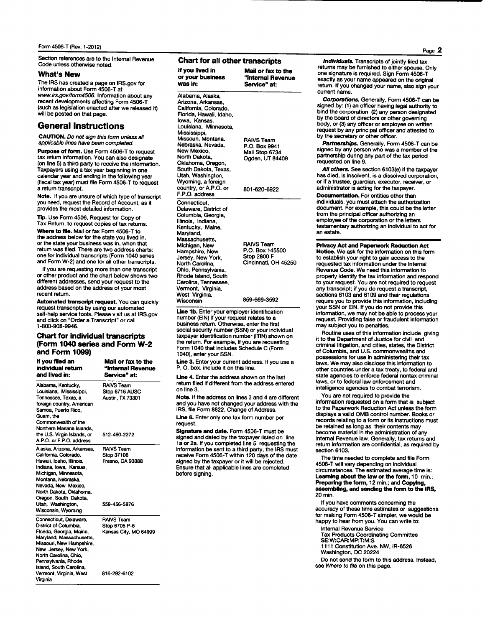Section references are to the Internal Revenue Code unless otherwise noted.

#### **What's New**

The IRS has created a page on IRS.gov for information about Form 4506-T at www.irs.gov/form4506. Information about any recent developments affecting Form 4506-T (such as legislation enacted after we released it) will be posted on that page.

#### **General Instructions**

CAUTION. Do not sign this form unless all applicable lines have been completed

Purpose of form, Use Form 4506-T to request tax return information. You can also designate (on line 5) a third party to receive the information. Taxpayers using a tax year beginning in one calendar year and ending in the following year (fiscal tax year) must file Form 4506-T to request a return transcript.

Note. If you are unsure of which type of transcript you need, request the Record of Account, as it provides the most detailed information.

Tip. Use Form 4506, Request for Copy of Tax Return, to request copies of tax returns. Where to file. Mail or fax Form 4506-T to the address below for the state you lived in, or the state your business was in, when that<br>return was filed. There are two address charts: one for individual transcripts (Form 1040 series and Form W-2) and one for all other transcripts.

If you are requesting more than one transcript or other product and the chart below shows two different addresses, send your request to the address based on the address of your most recent return.

Automated transcript request. You can quickly request transcripts by using our automated self-help service tools. Please visit us at IRS.gov and click on "Order a Transcript" or call 1-800-908-9946.

#### **Chart for individual transcripts** (Form 1040 series and Form W-2 and Form 1099)

| If you filed an<br>individual return<br>and lived in:                                                                                                                                                                                                                          | Mail or fax to the<br>"Internal Revenue<br>Service" at:                     |
|--------------------------------------------------------------------------------------------------------------------------------------------------------------------------------------------------------------------------------------------------------------------------------|-----------------------------------------------------------------------------|
| Alabama, Kentucky,<br>Louisiana, Mississippi,<br>Tennessee, Texas, a<br>foreign country, American<br>Samoa, Puerto Rico.<br>Guam. the<br>Commonwealth of the                                                                                                                   | <b>RAIVS Team</b><br>Stop 6716 AUSC<br>Austin, TX 73301                     |
| Northern Mariana Islands.<br>the U.S. Virgin Islands, or<br>A.P.O. or F.P.O. address                                                                                                                                                                                           | 512-460-2272                                                                |
| Alaska, Arizona, Arkansas.<br>California, Colorado,<br>Hawaii, Idaho, Illinois,<br>Indiana, Iowa, Kansas.<br>Michigan, Minnesota.<br>Montana, Nebraska,<br>Nevada, New Mexico,<br>North Dakota, Oklahoma,<br>Oregon, South Dakota,<br>Utah, Washington,<br>Wisconsin, Wyoming  | <b>RAIVS Team</b><br>Stop 37106<br>Fresno, CA 93888<br>559-456-5876         |
| Connecticut, Delaware,<br>District of Columbia.<br>Florida, Georgia, Maine,<br>Maryland, Massachusetts,<br>Missouri, New Hampshire,<br>New Jersey, New York.<br>North Carolina, Ohio,<br>Pennsylvania, Rhode<br>Island, South Carolina,<br>Vermont, Virginia, West<br>Virginia | <b>RAIVS Team</b><br>Stop 6705 P-6<br>Kansas City, MO 64999<br>816-292-6102 |

#### Chart for all other transcripts

| If you lived in<br>or your business<br>was in:                                                                                                                                                                                                                                                                                                   | Mail or fax to the<br>"Internal Revenue<br>Service" at:                                 |
|--------------------------------------------------------------------------------------------------------------------------------------------------------------------------------------------------------------------------------------------------------------------------------------------------------------------------------------------------|-----------------------------------------------------------------------------------------|
| Alabama, Alaska.<br>Arizona, Arkansas,<br>California, Colorado,<br>Florida, Hawaii, Idaho,<br>lowa, Kansas.<br>Louisiana, Minnesota,<br>Mississippi,<br>Missouri, Montana,<br>Nebraska, Nevada,<br>New Mexico.<br>North Dakota.<br>Oklahoma, Oregon,<br>South Dakota, Texas.<br>Utah, Washington,<br>Wyoming, a foreign<br>country, or A.P.O. or | <b>RAIVS Team</b><br>P.O. Box 9941<br>Mail Stop 6734<br>Oaden, UT 84409<br>801-620-6922 |
| F.P.O. address<br>Connecticut.<br>Delaware, District of<br>Columbia, Georgia,<br>Illinois, Indiana.<br>Kentucky, Maine,<br>Maryland,<br>Massachusetts.<br>Michigan, New<br>Hampshire, New<br>Jersey, New York.<br>North Carolina.<br>Ohio, Pennsylvania,<br>Rhode Island, South<br>Carolina, Tennessee.<br>Vermont, Virginia,<br>West Virginia,  | RAIVS Team<br>P.O. Box 145500<br>Stop 2800 F<br>Cincinnati, OH 45250                    |
| Wisconsin                                                                                                                                                                                                                                                                                                                                        | 859-669-3592                                                                            |

Line 1b. Enter your employer identification number (EIN) if your request relates to a business return. Otherwise, enter the first<br>social security number (SSN) or your individual taxpayer identification number (ITIN) shown on the return. For example, if you are requesting<br>Form 1040 that includes Schedule C (Form 1040), enter your SSN.

Line 3. Enter your current address. If you use a P. O. box, include it on this line.

Line 4. Enter the address shown on the last return filed if different from the address entered on line 3.

Note. If the address on lines 3 and 4 are different and you have not changed your address with the IRS, file Form 8822, Change of Address.

Line 6. Enter only one tax form number per request.

Signature and date. Form 4506-T must be signed and dated by the taxpayer listed on line 1a or 2a. If you completed line 5 requesting the information be sent to a third party, the IRS must receive Form 4506-T within 120 days of the date signed by the taxpayer or it will be rejected. Ensure that all applicable lines are completed before signing.

Individuals. Transcripts of jointly filed tax returns may be furnished to either spouse. Only one signature is required. Sign Form 4506-T exactly as your name appeared on the original return. If you changed your name, also sign your current name.

Corporations. Generally, Form 4506-T can be signed by: (1) an officer having legal authority to<br>bind the corporation, (2) any person designated bind the corporation, (z) any person designate<br>by the board of directors or other governing<br>body, or (3) any officer or employee on written request by any principal officer and attested to by the secretary or other officer.

Partnerships. Generally, Form 4506-T can be signed by any person who was a member of the partnership during any part of the tax period requested on line 9.

All others. See section 6103(e) if the taxpayer has died, is insolvent, is a dissolved corporation, or if a trustee, guardian, executor, receiver, or administrator is acting for the taxpayer. Documentation. For entities other than individuals, you must attach the authorization<br>document. For example, this could be the letter from the principal officer authorizing an employee of the corporation or the letters testamentary authorizing an individual to act for an estate.

**Privacy Act and Paperwork Reduction Act<br>Notice.** We ask for the information on this form to establish your right to gain access to the requested tax information under the Internal Revenue Code. We need this information to properly identify the tax information and respond to your request. You are not required to request any transcript; if you do request a transcript, sections 6103 and 6109 and their regulations require you to provide this information, including your SSN or EIN. If you do not provide this information, we may not be able to process your request. Providing false or fraudulent information may subject you to penalties.

Routine uses of this information include giving it to the Department of Justice for civil and criminal litigation, and cities, states, the District of Columbia, and U.S. commonwealths and possessions for use in administering their tax laws. We may also disclose this information to other countries under a tax treaty, to federal and state agencies to enforce federal nontax criminal laws, or to federal law enforcement and intelligence agencies to combat terrorism.

You are not required to provide the information requested on a form that is subject to the Paperwork Reduction Act unless the form displays a valid OMB control number. Books or records relating to a form or its instructions must be retained as long as their contents may become material in the administration of any Internal Revenue law. Generally, tax returns and return information are confidential, as required by section 6103.

The time needed to complete and file Form 4506-T will vary depending on individual circumstances. The estimated average time is: Learning about the law or the form, 10 min.; Preparing the form, 12 min.; and Copying, assembling, and sending the form to the IRS,  $20 \text{ min}$ 

If you have comments concerning the accuracy of these time estimates or suggestions for making Form 4506-T simpler, we would be happy to hear from you. You can write to:

Internal Revenue Service Tax Products Coordinating Committee<br>SE:W:CAR:MP:T:M:S

1111 Constitution Ave. NW, IR-6526

Washington, DC 20224

Do not send the form to this address. Instead, see Where to file on this page.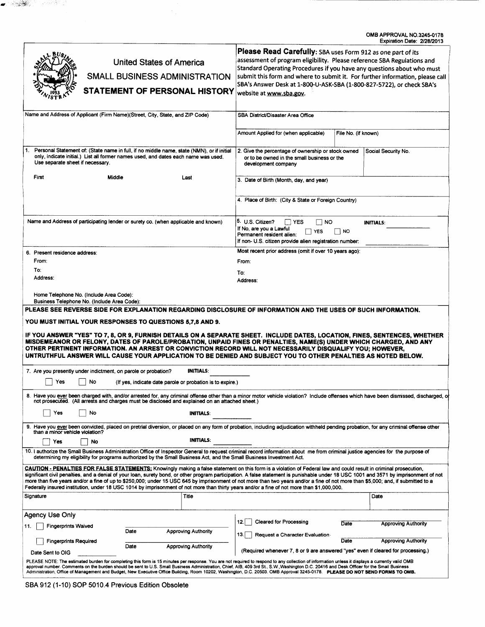| Name and Address of Applicant (Firm Name)(Street, City, State, and ZIP Code)                                                                                                                                        | United States of America<br><b>SMALL BUSINESS ADMINISTRATION</b><br><b>STATEMENT OF PERSONAL HISTORY</b> |                            | Please Read Carefully: SBA uses Form 912 as one part of its<br>assessment of program eligibility. Please reference SBA Regulations and<br>Standard Operating Procedures if you have any questions about who must<br>submit this form and where to submit it. For further information, please call<br>SBA's Answer Desk at 1-800-U-ASK-SBA (1-800-827-5722), or check SBA's<br>website at www.sba.gov.<br>SBA District/Disaster Area Office<br>Amount Applied for (when applicable)                                                                                                                                                                                                             | File No. (if known) |                            |
|---------------------------------------------------------------------------------------------------------------------------------------------------------------------------------------------------------------------|----------------------------------------------------------------------------------------------------------|----------------------------|------------------------------------------------------------------------------------------------------------------------------------------------------------------------------------------------------------------------------------------------------------------------------------------------------------------------------------------------------------------------------------------------------------------------------------------------------------------------------------------------------------------------------------------------------------------------------------------------------------------------------------------------------------------------------------------------|---------------------|----------------------------|
|                                                                                                                                                                                                                     |                                                                                                          |                            |                                                                                                                                                                                                                                                                                                                                                                                                                                                                                                                                                                                                                                                                                                |                     |                            |
| Personal Statement of: (State name in full, if no middle name, state (NMN), or if initial<br>only, indicate initial.) List all former names used, and dates each name was used.<br>Use separate sheet if necessary. |                                                                                                          |                            | 2. Give the percentage of ownership or stock owned<br>or to be owned in the small business or the<br>development company                                                                                                                                                                                                                                                                                                                                                                                                                                                                                                                                                                       |                     | Social Security No.        |
| First<br>Middle                                                                                                                                                                                                     |                                                                                                          | Last                       | 3. Date of Birth (Month, day, and year)                                                                                                                                                                                                                                                                                                                                                                                                                                                                                                                                                                                                                                                        |                     |                            |
|                                                                                                                                                                                                                     |                                                                                                          |                            | 4. Place of Birth: (City & State or Foreign Country)                                                                                                                                                                                                                                                                                                                                                                                                                                                                                                                                                                                                                                           |                     |                            |
| Name and Address of participating lender or surety co. (when applicable and known)                                                                                                                                  |                                                                                                          |                            | 5. U.S. Citizen?<br>$\Box$ YES<br>$\Box$ NO<br>If No, are you a Lawful<br>$\Box$ Yes<br>Permanent resident alien:<br>If non- U.S. citizen provide alien registration number:                                                                                                                                                                                                                                                                                                                                                                                                                                                                                                                   | NO                  | <b>INITIALS:</b>           |
| 6. Present residence address:                                                                                                                                                                                       |                                                                                                          |                            | Most recent prior address (omit if over 10 years ago):                                                                                                                                                                                                                                                                                                                                                                                                                                                                                                                                                                                                                                         |                     |                            |
| From:                                                                                                                                                                                                               |                                                                                                          |                            | From:                                                                                                                                                                                                                                                                                                                                                                                                                                                                                                                                                                                                                                                                                          |                     |                            |
| To:                                                                                                                                                                                                                 |                                                                                                          |                            | To:                                                                                                                                                                                                                                                                                                                                                                                                                                                                                                                                                                                                                                                                                            |                     |                            |
| Address:                                                                                                                                                                                                            |                                                                                                          |                            | Address:                                                                                                                                                                                                                                                                                                                                                                                                                                                                                                                                                                                                                                                                                       |                     |                            |
| Home Telephone No. (Include Area Code):<br>Business Telephone No. (Include Area Code):<br>YOU MUST INITIAL YOUR RESPONSES TO QUESTIONS 5,7,8 AND 9.                                                                 |                                                                                                          |                            | PLEASE SEE REVERSE SIDE FOR EXPLANATION REGARDING DISCLOSURE OF INFORMATION AND THE USES OF SUCH INFORMATION.<br>IF YOU ANSWER "YES" TO 7, 8, OR 9, FURNISH DETAILS ON A SEPARATE SHEET. INCLUDE DATES, LOCATION, FINES, SENTENCES, WHETHER<br>MISDEMEANOR OR FELONY, DATES OF PAROLE/PROBATION, UNPAID FINES OR PENALTIES, NAME(S) UNDER WHICH CHARGED, AND ANY<br>OTHER PERTINENT INFORMATION. AN ARREST OR CONVICTION RECORD WILL NOT NECESSARILY DISQUALIFY YOU; HOWEVER,<br>UNTRUTHFUL ANSWER WILL CAUSE YOUR APPLICATION TO BE DENIED AND SUBJECT YOU TO OTHER PENALTIES AS NOTED BELOW.                                                                                                 |                     |                            |
| 7. Are you presently under indictment, on parole or probation?                                                                                                                                                      |                                                                                                          | <b>INITIALS:</b>           |                                                                                                                                                                                                                                                                                                                                                                                                                                                                                                                                                                                                                                                                                                |                     |                            |
| Yes<br>No                                                                                                                                                                                                           | (If yes, indicate date parole or probation is to expire.)                                                |                            |                                                                                                                                                                                                                                                                                                                                                                                                                                                                                                                                                                                                                                                                                                |                     |                            |
|                                                                                                                                                                                                                     | arrests and charges must be disclosed and explained on an attached sheet.)                               |                            | 8. Have you ever been charged with, and/or arrested for, any criminal offense other than a minor motor vehicle violation? Include offenses which have been dismissed, discharged, or                                                                                                                                                                                                                                                                                                                                                                                                                                                                                                           |                     |                            |
| Yes<br>No                                                                                                                                                                                                           |                                                                                                          | <b>INITIALS:</b>           |                                                                                                                                                                                                                                                                                                                                                                                                                                                                                                                                                                                                                                                                                                |                     |                            |
| than a minor vehicle violation?                                                                                                                                                                                     |                                                                                                          |                            | 9. Have you ever been convicted, placed on pretrial diversion, or placed on any form of probation, including adjudication withheld pending probation, for any criminal offense other                                                                                                                                                                                                                                                                                                                                                                                                                                                                                                           |                     |                            |
| Yes<br>No                                                                                                                                                                                                           |                                                                                                          | <b>INITIALS:</b>           |                                                                                                                                                                                                                                                                                                                                                                                                                                                                                                                                                                                                                                                                                                |                     |                            |
| determining my eligibility for programs authorized by the Small Business Act, and the Small Business Investment Act.                                                                                                |                                                                                                          |                            | 10. I authorize the Small Business Administration Office of Inspector General to request criminal record information about me from criminal justice agencies for the purpose of                                                                                                                                                                                                                                                                                                                                                                                                                                                                                                                |                     |                            |
|                                                                                                                                                                                                                     |                                                                                                          |                            | CAUTION - PENALTIES FOR FALSE STATEMENTS; Knowingly making a false statement on this form is a violation of Federal law and could result in criminal prosecution,<br>significant civil penalties, and a denial of your loan, surety bond, or other program participation. A false statement is punishable under 18 USC 1001 and 3571 by imprisonment of not<br>more than five years and/or a fine of up to \$250,000; under 15 USC 645 by imprisonment of not more than two years and/or a fine of not more than \$5,000; and, if submitted to a<br>Federally insured institution, under 18 USC 1014 by imprisonment of not more than thirty years and/or a fine of not more than \$1,000,000. |                     |                            |
| Signature                                                                                                                                                                                                           |                                                                                                          | Title                      |                                                                                                                                                                                                                                                                                                                                                                                                                                                                                                                                                                                                                                                                                                |                     | Date                       |
| Agency Use Only                                                                                                                                                                                                     |                                                                                                          |                            |                                                                                                                                                                                                                                                                                                                                                                                                                                                                                                                                                                                                                                                                                                |                     |                            |
| <b>Fingerprints Waived</b><br>11.                                                                                                                                                                                   | Date                                                                                                     |                            | 12.<br><b>Cleared for Processing</b>                                                                                                                                                                                                                                                                                                                                                                                                                                                                                                                                                                                                                                                           | Date                | <b>Approving Authority</b> |
| <b>Fingerprints Required</b>                                                                                                                                                                                        |                                                                                                          | <b>Approving Authority</b> | 13. <br>Request a Character Evaluation                                                                                                                                                                                                                                                                                                                                                                                                                                                                                                                                                                                                                                                         | Date                | <b>Approving Authority</b> |
| Date Sent to OIG                                                                                                                                                                                                    | Date                                                                                                     | <b>Approving Authority</b> | (Required whenever 7, 8 or 9 are answered "yes" even if cleared for processing.)                                                                                                                                                                                                                                                                                                                                                                                                                                                                                                                                                                                                               |                     |                            |
|                                                                                                                                                                                                                     |                                                                                                          |                            | PLEASE NOTE: The estimated burden for completing this form is 15 minutes per response. You are not required to respond to any collection of information unless it displays a currently valid OMB<br>approval number. Comments on the burden should be sent to U.S. Small Business Administration, Chief, AIB, 409 3rd St., S.W.,Washington D.C. 20416 and Desk Officer for the Small Business                                                                                                                                                                                                                                                                                                  |                     |                            |
|                                                                                                                                                                                                                     |                                                                                                          |                            | Administration, Office of Management and Budget, New Executive Office Building, Room 10202, Washington, D.C. 20503. OMB Approval 3245-0178. PLEASE DO NOT SEND FORMS TO OMB.                                                                                                                                                                                                                                                                                                                                                                                                                                                                                                                   |                     |                            |

SBA 912 (1-10) SOP 5010.4 Previous Edition Obsolete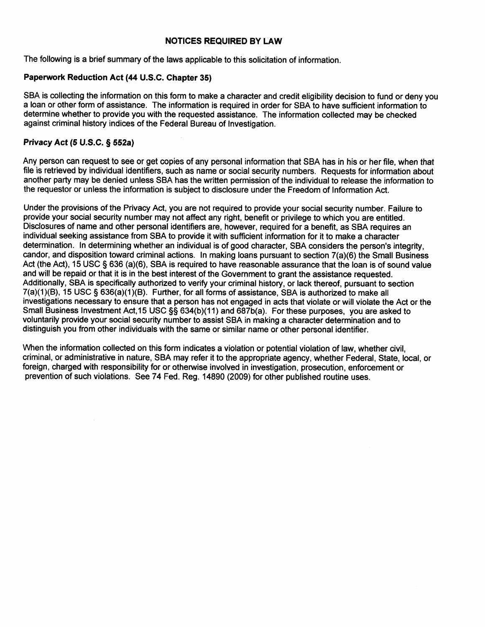#### **NOTICES REQUIRED BY LAW**

The following is a brief summary of the laws applicable to this solicitation of information.

#### Paperwork Reduction Act (44 U.S.C. Chapter 35)

SBA is collecting the information on this form to make a character and credit eligibility decision to fund or deny you a loan or other form of assistance. The information is required in order for SBA to have sufficient information to determine whether to provide you with the requested assistance. The information collected may be checked against criminal history indices of the Federal Bureau of Investigation.

#### Privacy Act (5 U.S.C. § 552a)

Any person can request to see or get copies of any personal information that SBA has in his or her file, when that file is retrieved by individual identifiers, such as name or social security numbers. Requests for information about another party may be denied unless SBA has the written permission of the individual to release the information to the requestor or unless the information is subject to disclosure under the Freedom of Information Act.

Under the provisions of the Privacy Act, you are not required to provide your social security number. Failure to provide your social security number may not affect any right, benefit or privilege to which you are entitled. Disclosures of name and other personal identifiers are, however, required for a benefit, as SBA requires an individual seeking assistance from SBA to provide it with sufficient information for it to make a character determination. In determining whether an individual is of good character. SBA considers the person's integrity. candor, and disposition toward criminal actions. In making loans pursuant to section 7(a)(6) the Small Business Act (the Act), 15 USC § 636 (a)(6), SBA is required to have reasonable assurance that the loan is of sound value and will be repaid or that it is in the best interest of the Government to grant the assistance requested. Additionally, SBA is specifically authorized to verify your criminal history, or lack thereof, pursuant to section  $7(a)(1)(B)$ , 15 USC § 636(a)(1)(B). Further, for all forms of assistance. SBA is authorized to make all investigations necessary to ensure that a person has not engaged in acts that violate or will violate the Act or the Small Business Investment Act, 15 USC §§ 634(b)(11) and 687b(a). For these purposes, you are asked to voluntarily provide your social security number to assist SBA in making a character determination and to distinguish you from other individuals with the same or similar name or other personal identifier.

When the information collected on this form indicates a violation or potential violation of law, whether civil, criminal, or administrative in nature, SBA may refer it to the appropriate agency, whether Federal, State, local, or foreign, charged with responsibility for or otherwise involved in investigation, prosecution, enforcement or prevention of such violations. See 74 Fed. Reg. 14890 (2009) for other published routine uses.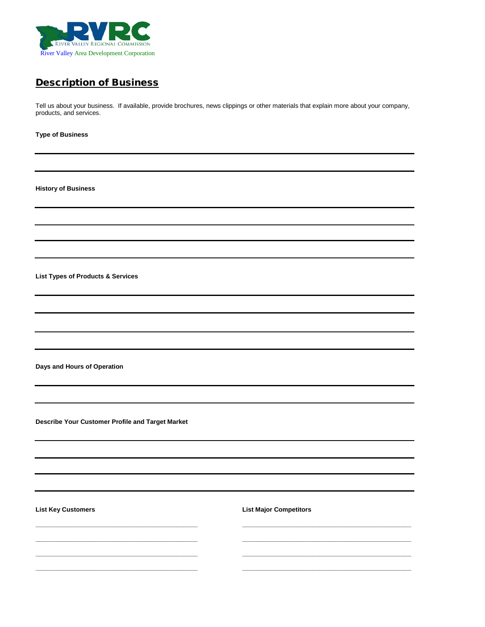

# Description of Business

Tell us about your business. If available, provide brochures, news clippings or other materials that explain more about your company, products, and services.

**Type of Business**

**History of Business**

**List Types of Products & Services**

**Days and Hours of Operation**

**Describe Your Customer Profile and Target Market**

**List Key Customers List Major Competitors**

**\_\_\_\_\_\_\_\_\_\_\_\_\_\_\_\_\_\_\_\_\_\_\_\_\_\_\_\_\_\_\_\_\_\_\_\_\_\_\_\_\_\_\_\_\_\_ \_\_\_\_\_\_\_\_\_\_\_\_\_\_\_\_\_\_\_\_\_\_\_\_\_\_\_\_\_\_\_\_\_\_\_\_\_\_\_\_\_\_\_\_\_\_\_\_ \_\_\_\_\_\_\_\_\_\_\_\_\_\_\_\_\_\_\_\_\_\_\_\_\_\_\_\_\_\_\_\_\_\_\_\_\_\_\_\_\_\_\_\_\_\_ \_\_\_\_\_\_\_\_\_\_\_\_\_\_\_\_\_\_\_\_\_\_\_\_\_\_\_\_\_\_\_\_\_\_\_\_\_\_\_\_\_\_\_\_\_\_\_\_ \_\_\_\_\_\_\_\_\_\_\_\_\_\_\_\_\_\_\_\_\_\_\_\_\_\_\_\_\_\_\_\_\_\_\_\_\_\_\_\_\_\_\_\_\_\_ \_\_\_\_\_\_\_\_\_\_\_\_\_\_\_\_\_\_\_\_\_\_\_\_\_\_\_\_\_\_\_\_\_\_\_\_\_\_\_\_\_\_\_\_\_\_\_\_ \_\_\_\_\_\_\_\_\_\_\_\_\_\_\_\_\_\_\_\_\_\_\_\_\_\_\_\_\_\_\_\_\_\_\_\_\_\_\_\_\_\_\_\_\_\_ \_\_\_\_\_\_\_\_\_\_\_\_\_\_\_\_\_\_\_\_\_\_\_\_\_\_\_\_\_\_\_\_\_\_\_\_\_\_\_\_\_\_\_\_\_\_\_\_**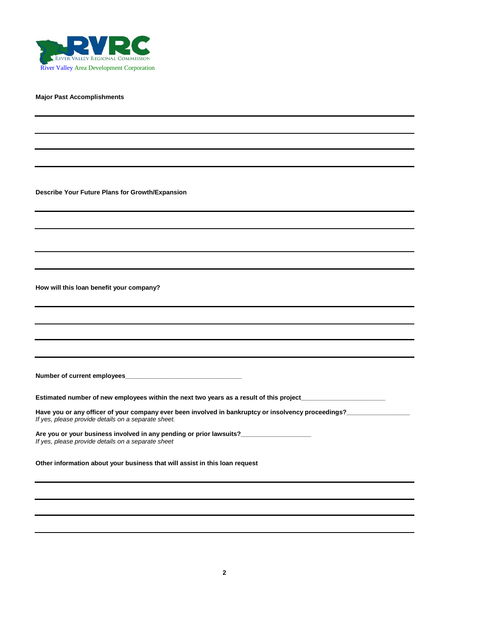

**Major Past Accomplishments**

**Describe Your Future Plans for Growth/Expansion**

**How will this loan benefit your company?**

**Number of current employees\_\_\_\_\_\_\_\_\_\_\_\_\_\_\_\_\_\_\_\_\_\_\_\_\_\_\_\_\_\_\_\_\_**

Estimated number of new employees within the next two years as a result of this project\_

**Have you or any officer of your company ever been involved in bankruptcy or insolvency proceedings?\_\_\_\_\_\_\_\_\_\_\_\_\_\_\_\_\_\_** *If yes, please provide details on a separate sheet.*

Are you or your business involved in any pending or prior lawsuits?\_\_ *If yes, please provide details on a separate sheet*

**Other information about your business that will assist in this loan request**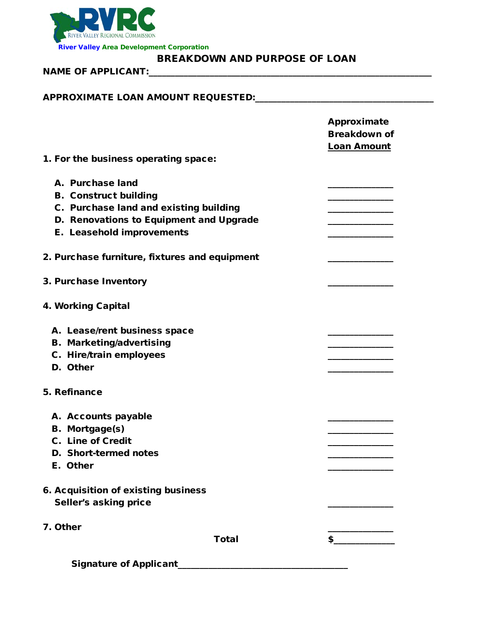

# BREAKDOWN AND PURPOSE OF LOAN

# NAME OF APPLICANT:\_\_\_

| <b>APPROXIMATE LOAN AMOUNT REQUESTED:</b> |  |
|-------------------------------------------|--|
|                                           |  |

|                                               | Approximate         |
|-----------------------------------------------|---------------------|
|                                               | <b>Breakdown of</b> |
|                                               | <b>Loan Amount</b>  |
| 1. For the business operating space:          |                     |
| A. Purchase land                              |                     |
| <b>B. Construct building</b>                  |                     |
| C. Purchase land and existing building        |                     |
| D. Renovations to Equipment and Upgrade       |                     |
| E. Leasehold improvements                     |                     |
| 2. Purchase furniture, fixtures and equipment |                     |
| 3. Purchase Inventory                         |                     |
| 4. Working Capital                            |                     |
| A. Lease/rent business space                  |                     |
| <b>B. Marketing/advertising</b>               |                     |
| C. Hire/train employees                       |                     |
| D. Other                                      |                     |
| 5. Refinance                                  |                     |
| A. Accounts payable                           |                     |
| <b>B.</b> Mortgage(s)                         |                     |
| <b>C.</b> Line of Credit                      |                     |
| D. Short-termed notes                         |                     |
| E. Other                                      |                     |
|                                               |                     |
| 6. Acquisition of existing business           |                     |
| Seller's asking price                         |                     |
| 7. Other                                      |                     |
| <b>Total</b>                                  |                     |
| <b>Signature of Applicant_</b>                |                     |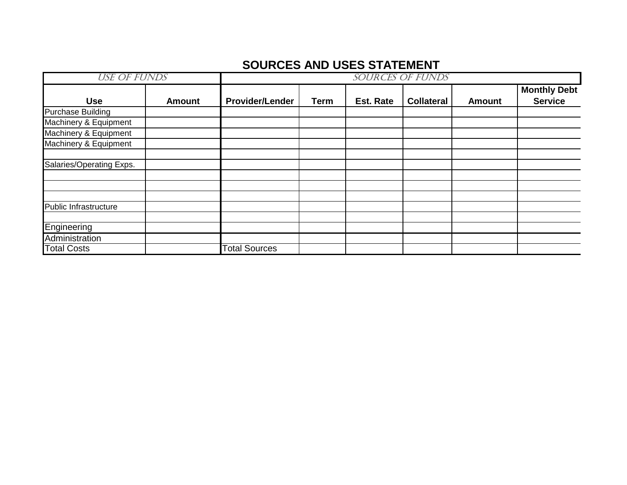# **SOURCES AND USES STATEMENT**

| <b>USE OF FUNDS</b>      | SOURCES OF FUNDS |                        |             |                  |                   |               |                                       |
|--------------------------|------------------|------------------------|-------------|------------------|-------------------|---------------|---------------------------------------|
| <b>Use</b>               | <b>Amount</b>    | <b>Provider/Lender</b> | <b>Term</b> | <b>Est. Rate</b> | <b>Collateral</b> | <b>Amount</b> | <b>Monthly Debt</b><br><b>Service</b> |
| <b>Purchase Building</b> |                  |                        |             |                  |                   |               |                                       |
| Machinery & Equipment    |                  |                        |             |                  |                   |               |                                       |
| Machinery & Equipment    |                  |                        |             |                  |                   |               |                                       |
| Machinery & Equipment    |                  |                        |             |                  |                   |               |                                       |
|                          |                  |                        |             |                  |                   |               |                                       |
| Salaries/Operating Exps. |                  |                        |             |                  |                   |               |                                       |
|                          |                  |                        |             |                  |                   |               |                                       |
|                          |                  |                        |             |                  |                   |               |                                       |
|                          |                  |                        |             |                  |                   |               |                                       |
| Public Infrastructure    |                  |                        |             |                  |                   |               |                                       |
|                          |                  |                        |             |                  |                   |               |                                       |
| Engineering              |                  |                        |             |                  |                   |               |                                       |
| Administration           |                  |                        |             |                  |                   |               |                                       |
| <b>Total Costs</b>       |                  | <b>Total Sources</b>   |             |                  |                   |               |                                       |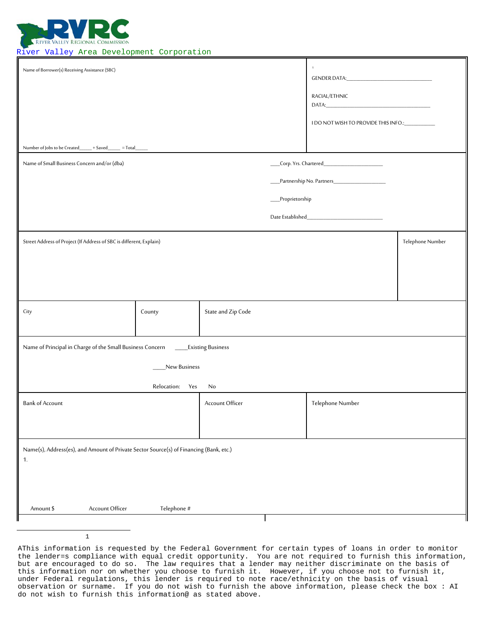

<u>1</u>

River Valley Area Development Corporation

| Name of Borrower(s) Receiving Assistance (SBC)<br>Number of Jobs to be Created______ + Saved______ = Total______             |                  |                    | $\mathbf{1}$<br><b>GENDER DATA: CONTRACTE STATES AND RESIDENT</b><br>RACIAL/ETHNIC<br>I DO NOT WISH TO PROVIDE THIS INFO.: 100 |  |
|------------------------------------------------------------------------------------------------------------------------------|------------------|--------------------|--------------------------------------------------------------------------------------------------------------------------------|--|
| Name of Small Business Concern and/or (dba)                                                                                  |                  |                    |                                                                                                                                |  |
|                                                                                                                              |                  |                    | Partnership No. Partners                                                                                                       |  |
|                                                                                                                              |                  | __Proprietorship   |                                                                                                                                |  |
|                                                                                                                              |                  |                    |                                                                                                                                |  |
| Street Address of Project (If Address of SBC is different, Explain)                                                          | Telephone Number |                    |                                                                                                                                |  |
|                                                                                                                              |                  |                    |                                                                                                                                |  |
| City                                                                                                                         | County           | State and Zip Code |                                                                                                                                |  |
| Name of Principal in Charge of the Small Business Concern ________Existing Business                                          |                  |                    |                                                                                                                                |  |
|                                                                                                                              | New Business     |                    |                                                                                                                                |  |
|                                                                                                                              | Relocation: Yes  | No                 |                                                                                                                                |  |
| <b>Bank of Account</b>                                                                                                       |                  | Account Officer    | Telephone Number                                                                                                               |  |
| Name(s), Address(es), and Amount of Private Sector Source(s) of Financing (Bank, etc.)<br>1.<br>Account Officer<br>Amount \$ | Telephone #      |                    |                                                                                                                                |  |
|                                                                                                                              |                  |                    |                                                                                                                                |  |

<span id="page-18-0"></span>AThis information is requested by the Federal Government for certain types of loans in order to monitor the lender=s compliance with equal credit opportunity. You are not required to furnish this information, but are encouraged to do so. The law requires that a lender may neither discriminate on the basis of this information nor on whether you choose to furnish it. However, if you choose not to furnish it, under Federal regulations, this lender is required to note race/ethnicity on the basis of visual observation or surname. If you do not wish to furnish the above information, please check the box : AI do not wish to furnish this information@ as stated above.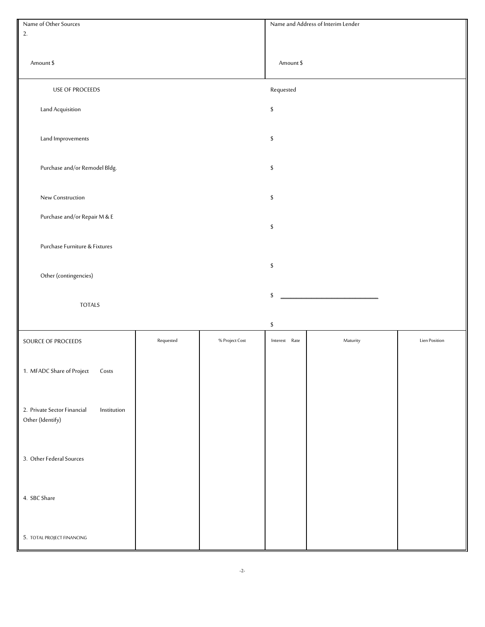| Name of Other Sources                                          |           |                |               | Name and Address of Interim Lender |               |  |  |
|----------------------------------------------------------------|-----------|----------------|---------------|------------------------------------|---------------|--|--|
| 2.                                                             |           |                |               |                                    |               |  |  |
| Amount \$                                                      |           |                |               | Amount \$                          |               |  |  |
| USE OF PROCEEDS                                                |           |                | Requested     |                                    |               |  |  |
| Land Acquisition                                               |           |                | \$            |                                    |               |  |  |
| Land Improvements                                              |           |                | \$            |                                    |               |  |  |
| Purchase and/or Remodel Bldg.                                  |           |                | \$            |                                    |               |  |  |
| New Construction                                               |           |                | $\mathbb{S}$  |                                    |               |  |  |
| Purchase and/or Repair M & E                                   |           |                |               |                                    |               |  |  |
| Purchase Furniture & Fixtures                                  |           |                |               |                                    |               |  |  |
| Other (contingencies)                                          |           |                | $\mathbb S$   |                                    |               |  |  |
| <b>TOTALS</b>                                                  |           |                | \$            |                                    |               |  |  |
|                                                                |           |                | \$            |                                    |               |  |  |
| SOURCE OF PROCEEDS                                             | Requested | % Project Cost | Interest Rate | Maturity                           | Lien Position |  |  |
| 1. MFADC Share of Project<br>Losts                             |           |                |               |                                    |               |  |  |
| 2. Private Sector Financial<br>Institution<br>Other (Identify) |           |                |               |                                    |               |  |  |
| 3. Other Federal Sources                                       |           |                |               |                                    |               |  |  |
| 4. SBC Share                                                   |           |                |               |                                    |               |  |  |
| 5. TOTAL PROJECT FINANCING                                     |           |                |               |                                    |               |  |  |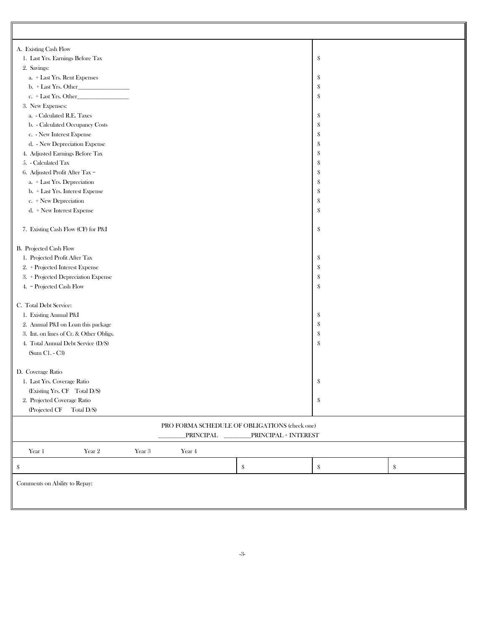| A. Existing Cash Flow                   |                                               |          |
|-----------------------------------------|-----------------------------------------------|----------|
| 1. Last Yrs. Earnings Before Tax        |                                               | \$       |
| 2. Savings:                             |                                               |          |
| a. + Last Yrs. Rent Expenses            |                                               | \$       |
|                                         |                                               | \$       |
|                                         |                                               | \$       |
| 3. New Expenses:                        |                                               |          |
| a. - Calculated R.E. Taxes              |                                               | \$       |
| b. - Calculated Occupancy Costs         |                                               | \$       |
| $\rm c.$ - New Interest Expense         |                                               | \$       |
| d. - New Depreciation Expense           |                                               | \$       |
| 4. Adjusted Earnings Before Tax         |                                               | \$       |
| $5.$ - Calculated $\operatorname{Tax}$  |                                               | \$       |
| 6. Adjusted Profit After Tax =          |                                               | \$       |
| a. + Last Yrs. Depreciation             |                                               | \$       |
| b. $+$ Last Yrs. Interest Expense       |                                               | \$       |
| c. + New Depreciation                   |                                               | \$       |
| d. + New Interest Expense               |                                               | \$       |
|                                         |                                               |          |
| 7. Existing Cash Flow (CF) for P&I      |                                               | \$       |
|                                         |                                               |          |
| B. Projected Cash Flow                  |                                               |          |
| 1. Projected Profit After Tax           |                                               | \$       |
| 2. + Projected Interest Expense         |                                               | \$       |
| 3. + Projected Depreciation Expense     |                                               | \$       |
| 4. - Projected Cash Flow                |                                               | \$       |
|                                         |                                               |          |
| C. Total Debt Service:                  |                                               |          |
| 1. Existing Annual P&I                  |                                               | \$       |
| 2. Annual P&I on Loan this package      |                                               | \$       |
| 3. Int. on lines of Cr. & Other Obligs. |                                               | \$       |
| 4. Total Annual Debt Service (D/S)      |                                               | \$       |
| $(Sum Cl. - C3)$                        |                                               |          |
|                                         |                                               |          |
| D. Coverage Ratio                       |                                               |          |
| 1. Last Yrs. Coverage Ratio             |                                               | \$       |
| (Existing Yrs. CF Total D/S)            |                                               |          |
| 2. Projected Coverage Ratio             |                                               | \$       |
| (Projected CF<br>Total D/S)             |                                               |          |
|                                         | PRO FORMA SCHEDULE OF OBLIGATIONS (check one) |          |
| PRINCIPAL ______                        | PRINCIPAL + INTEREST                          |          |
|                                         |                                               |          |
| Year 2<br>Year 1<br>Year 3<br>Year 4    |                                               |          |
| $\$$                                    | \$                                            | \$<br>\$ |
| Comments on Ability to Repay:           |                                               |          |
|                                         |                                               |          |
|                                         |                                               |          |
|                                         |                                               |          |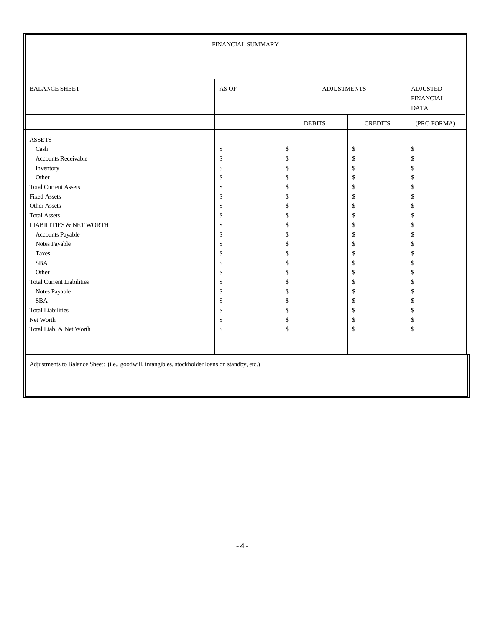| Cash<br><b>Accounts Receivable</b><br>Inventory<br>Other                                                                               | \$<br>\$<br>\$<br>\$<br>\$<br>\$<br>\$ | <b>DEBITS</b><br>\$<br>\$<br>\$<br>\$<br>\$<br>\$<br>\$ | <b>CREDITS</b><br>\$<br>\$<br>\$<br>\$<br>\$<br>\$<br>\$ | (PRO FORMA)<br>\$<br>\$<br>\$<br>\$<br>\$<br>\$ |
|----------------------------------------------------------------------------------------------------------------------------------------|----------------------------------------|---------------------------------------------------------|----------------------------------------------------------|-------------------------------------------------|
| <b>ASSETS</b>                                                                                                                          |                                        |                                                         |                                                          |                                                 |
| <b>Total Current Assets</b><br><b>Fixed Assets</b><br><b>Other Assets</b><br><b>Total Assets</b><br><b>LIABILITIES &amp; NET WORTH</b> |                                        |                                                         |                                                          |                                                 |
|                                                                                                                                        |                                        |                                                         |                                                          |                                                 |
|                                                                                                                                        |                                        |                                                         |                                                          |                                                 |
|                                                                                                                                        |                                        |                                                         |                                                          |                                                 |
|                                                                                                                                        |                                        |                                                         |                                                          |                                                 |
|                                                                                                                                        |                                        |                                                         |                                                          |                                                 |
|                                                                                                                                        |                                        |                                                         |                                                          |                                                 |
|                                                                                                                                        |                                        |                                                         |                                                          | \$                                              |
|                                                                                                                                        | \$                                     | \$                                                      | \$                                                       | \$                                              |
|                                                                                                                                        | \$                                     | \$                                                      | \$                                                       | \$                                              |
| Accounts Payable                                                                                                                       | \$                                     | \$                                                      | \$                                                       | \$                                              |
| Notes Payable                                                                                                                          | \$                                     | \$                                                      | \$                                                       | \$                                              |
| <b>Taxes</b>                                                                                                                           | \$                                     | \$                                                      | \$                                                       | \$                                              |
| SBA                                                                                                                                    |                                        | \$                                                      | \$                                                       | \$                                              |
| Other                                                                                                                                  | \$                                     | \$                                                      | \$                                                       | \$                                              |
| <b>Total Current Liabilities</b>                                                                                                       | \$                                     | \$                                                      | \$                                                       | \$                                              |
| Notes Payable                                                                                                                          | \$                                     | \$                                                      | \$                                                       | \$                                              |
| <b>SBA</b>                                                                                                                             |                                        | \$                                                      | \$                                                       | \$                                              |
| <b>Total Liabilities</b>                                                                                                               | \$                                     | \$                                                      | \$                                                       | \$                                              |
| Net Worth                                                                                                                              | \$                                     | \$                                                      | \$                                                       | \$                                              |
| Total Liab. & Net Worth                                                                                                                | \$                                     | \$                                                      | \$                                                       | \$                                              |
|                                                                                                                                        |                                        |                                                         |                                                          |                                                 |

FINANCIAL SUMMARY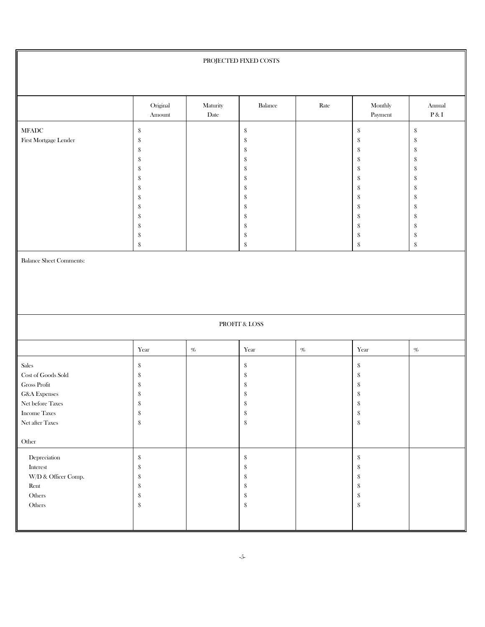| PROJECTED FIXED COSTS                                                                                                                                                                                                                           |                                                                                |                  |                                                                                    |      |                                                                              |                                                                                    |
|-------------------------------------------------------------------------------------------------------------------------------------------------------------------------------------------------------------------------------------------------|--------------------------------------------------------------------------------|------------------|------------------------------------------------------------------------------------|------|------------------------------------------------------------------------------|------------------------------------------------------------------------------------|
|                                                                                                                                                                                                                                                 |                                                                                |                  |                                                                                    |      |                                                                              |                                                                                    |
|                                                                                                                                                                                                                                                 | Original<br>Amount                                                             | Maturity<br>Date | Balance                                                                            | Rate | Monthly<br>$\mathbf{Payment}$                                                | $A$ nnual<br>$\rm P\,\&\, I$                                                       |
| $\operatorname{MFADC}$<br>First Mortgage Lender<br><b>Balance Sheet Comments:</b>                                                                                                                                                               | $\$$<br>\$<br>\$<br>\$<br>\$<br>\$<br>\$<br>\$<br>\$<br>\$<br>\$<br>\$<br>$\$$ |                  | $\$$<br>$\$$<br>\$<br>\$<br>\$<br>\$<br>\$<br>\$<br>\$<br>\$<br>\$<br>$\$$<br>$\$$ |      | $\$$<br>\$<br>\$<br>\$<br>\$<br>\$<br>\$<br>\$<br>\$<br>\$<br>\$<br>\$<br>\$ | $\$$<br>$\$$<br>\$<br>\$<br>\$<br>\$<br>\$<br>\$<br>\$<br>\$<br>\$<br>$\$$<br>$\$$ |
|                                                                                                                                                                                                                                                 |                                                                                |                  | PROFIT & LOSS                                                                      |      |                                                                              |                                                                                    |
|                                                                                                                                                                                                                                                 |                                                                                |                  |                                                                                    |      |                                                                              |                                                                                    |
|                                                                                                                                                                                                                                                 | $\operatorname*{Year}% \left( X\right) \equiv\operatorname*{Year}$             | $\%$             | Year                                                                               | $\%$ | Year                                                                         | $\%$                                                                               |
| $\operatorname{Sales}$<br>Cost of Goods Sold<br>Gross Profit<br>$\mathsf{G}\&\mathsf{A}$ Expenses<br>Net before Taxes<br>$\operatorname*{Income}\operatorname*{Taxes}% \operatorname*{Taxes}\nolimits_{\mathbb{Z}}$<br>Net after Taxes<br>Other | $\$$<br>\$<br>\$<br>\$<br>$\boldsymbol{\vartheta}$<br>$\$$<br>$\$$             |                  | $\$$<br>\$<br>\$<br>\$<br>P<br>$\$$<br>$\$$                                        |      | \$<br>\$<br>\$<br>\$<br>5.<br>\$<br>$\$$                                     |                                                                                    |
| Depreciation<br>Interest<br>$\rm W/D$ & Officer Comp.<br>Rent<br>Others<br>Others                                                                                                                                                               | $\$$<br>\$<br>\$<br>\$<br>\$<br>\$                                             |                  | $\$$<br>\$<br>\$<br>\$<br>\$<br>\$                                                 |      | $\$$<br>\$<br>\$<br>\$<br>\$<br>\$                                           |                                                                                    |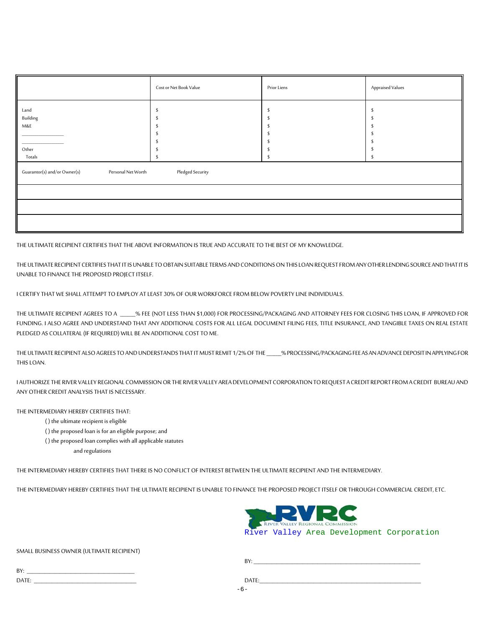|                                                                        | Cost or Net Book Value | Prior Liens | <b>Appraised Values</b> |  |  |  |
|------------------------------------------------------------------------|------------------------|-------------|-------------------------|--|--|--|
| Land<br>Building<br>M&E<br>Other<br>Totals                             |                        |             |                         |  |  |  |
| Guarantor(s) and/or Owner(s)<br>Pledged Security<br>Personal Net Worth |                        |             |                         |  |  |  |
|                                                                        |                        |             |                         |  |  |  |

THE ULTIMATE RECIPIENT CERTIFIES THAT THE ABOVE INFORMATION IS TRUE AND ACCURATE TO THE BEST OF MY KNOWLEDGE.

THE ULTIMATE RECIPIENT CERTIFIES THAT IT IS UNABLE TO OBTAIN SUITABLE TERMS AND CONDITIONS ON THIS LOAN REQUEST FROM ANY OTHER LENDING SOURCE AND THATIT IS UNABLE TO FINANCE THE PROPOSED PROJECT ITSELF.

I CERTIFY THAT WE SHALL ATTEMPT TO EMPLOY AT LEAST 30% OF OUR WORKFORCE FROM BELOW POVERTY LINE INDIVIDUALS.

THE ULTIMATE RECIPIENT AGREES TO A \_\_\_\_\_\_% FEE (NOT LESS THAN \$1,000) FOR PROCESSING/PACKAGING AND ATTORNEY FEES FOR CLOSING THIS LOAN, IF APPROVED FOR FUNDING. I ALSO AGREE AND UNDERSTAND THAT ANY ADDITIONAL COSTS FOR ALL LEGAL DOCUMENT FILING FEES, TITLE INSURANCE, AND TANGIBLE TAXES ON REAL ESTATE PLEDGED AS COLLATERAL (IF REQUIRED) WILL BE AN ADDITIONAL COST TO ME.

THE ULTIMATE RECIPIENT ALSO AGREES TO AND UNDERSTANDS THAT IT MUST REMIT 1/2% OF THE \_\_\_\_\_\_% PROCESSING/PACKAGING FEE AS AN ADVANCE DEPOSIT IN APPLYING FOR THIS LOAN.

I AUTHORIZE THE RIVER VALLEY REGIONAL COMMISSION OR THE RIVER VALLEY AREA DEVELOPMENT CORPORATION TO REQUEST A CREDIT REPORT FROM A CREDIT BUREAU AND ANY OTHER CREDIT ANALYSIS THAT IS NECESSARY.

THE INTERMEDIARY HEREBY CERTIFIES THAT:

- ( ) the ultimate recipient is eligible
- ( ) the proposed loan is for an eligible purpose; and
- ( ) the proposed loan complies with all applicable statutes

and regulations

THE INTERMEDIARY HEREBY CERTIFIES THAT THERE IS NO CONFLICT OF INTEREST BETWEEN THE ULTIMATE RECIPIENT AND THE INTERMEDIARY.

THE INTERMEDIARY HEREBY CERTIFIES THAT THE ULTIMATE RECIPIENT IS UNABLE TO FINANCE THE PROPOSED PROJECT ITSELF OR THROUGH COMMERCIAL CREDIT, ETC.



SMALL BUSINESS OWNER (ULTIMATE RECIPIENT)

 $BY:$ 

BY: \_\_\_\_\_\_\_\_\_\_\_\_\_\_\_\_\_\_\_\_\_\_\_\_\_\_\_\_\_\_\_\_\_\_\_\_\_\_\_\_\_\_ DATE: \_\_\_\_\_\_\_\_\_\_\_\_\_\_\_\_\_\_\_\_\_\_\_\_\_\_\_\_\_\_\_\_\_\_\_\_\_\_\_\_ DATE:\_\_\_\_\_\_\_\_\_\_\_\_\_\_\_\_\_\_\_\_\_\_\_\_\_\_\_\_\_\_\_\_\_\_\_\_\_\_\_\_\_\_\_\_\_\_\_\_\_\_\_\_\_\_\_\_\_\_\_\_\_\_\_

-6-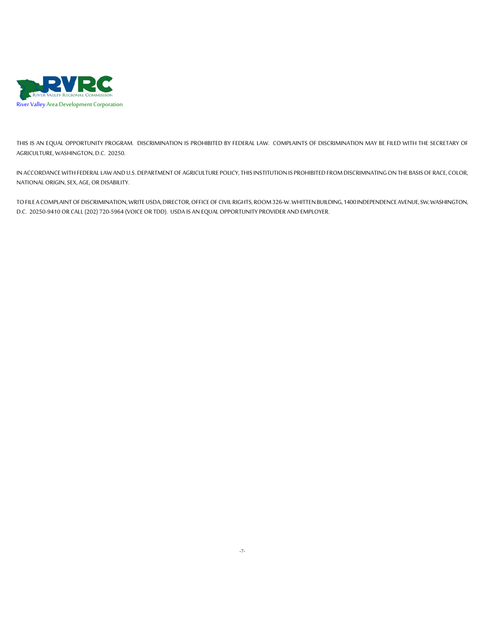

THIS IS AN EQUAL OPPORTUNITY PROGRAM. DISCRIMINATION IS PROHIBITED BY FEDERAL LAW. COMPLAINTS OF DISCRIMINATION MAY BE FILED WITH THE SECRETARY OF AGRICULTURE, WASHINGTON, D.C. 20250.

IN ACCORDANCEWITH FEDERAL LAW AND U.S. DEPARTMENT OF AGRICULTURE POLICY, THIS INSTITUTION IS PROHIBITED FROM DISCRIMNATING ON THE BASIS OF RACE, COLOR, NATIONAL ORIGIN, SEX, AGE, OR DISABILITY.

TO FILE A COMPLAINT OF DISCRIMINATION, WRITE USDA, DIRECTOR, OFFICE OF CIVIL RIGHTS, ROOM 326-W. WHITTEN BUILDING, 1400 INDEPENDENCE AVENUE, SW, WASHINGTON, D.C. 20250-9410 OR CALL (202) 720-5964 (VOICE OR TDD). USDA IS AN EQUAL OPPORTUNITY PROVIDER AND EMPLOYER.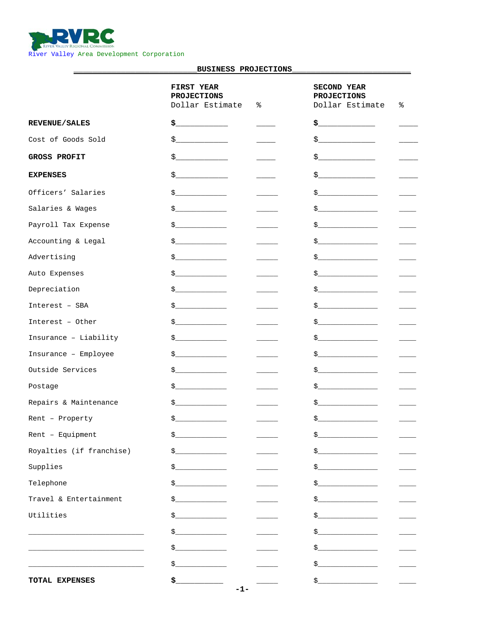

#### BUSINESS PROJECTIONS

|                          | <b>FIRST YEAR</b><br><b>PROJECTIONS</b><br>Dollar Estimate | ి | <b>SECOND YEAR</b><br><b>PROJECTIONS</b><br>Dollar Estimate                                                                                                                                                                                                                                                                                         | ႜ |
|--------------------------|------------------------------------------------------------|---|-----------------------------------------------------------------------------------------------------------------------------------------------------------------------------------------------------------------------------------------------------------------------------------------------------------------------------------------------------|---|
| <b>REVENUE/SALES</b>     | $\frac{1}{2}$                                              |   | $\frac{1}{2}$                                                                                                                                                                                                                                                                                                                                       |   |
| Cost of Goods Sold       | $\frac{1}{2}$                                              |   | $\frac{1}{2}$                                                                                                                                                                                                                                                                                                                                       |   |
| <b>GROSS PROFIT</b>      | $\frac{1}{2}$                                              |   | $\begin{picture}(20,20) \put(0,0){\line(1,0){10}} \put(15,0){\line(1,0){10}} \put(15,0){\line(1,0){10}} \put(15,0){\line(1,0){10}} \put(15,0){\line(1,0){10}} \put(15,0){\line(1,0){10}} \put(15,0){\line(1,0){10}} \put(15,0){\line(1,0){10}} \put(15,0){\line(1,0){10}} \put(15,0){\line(1,0){10}} \put(15,0){\line(1,0){10}} \put(15,0){\line(1$ |   |
| <b>EXPENSES</b>          | $\frac{1}{2}$                                              |   |                                                                                                                                                                                                                                                                                                                                                     |   |
| Officers' Salaries       | $\frac{1}{2}$                                              |   | $\frac{1}{2}$                                                                                                                                                                                                                                                                                                                                       |   |
| Salaries & Wages         | S                                                          |   | $\frac{1}{2}$                                                                                                                                                                                                                                                                                                                                       |   |
| Payroll Tax Expense      | $\frac{1}{2}$                                              |   | $\sharp$                                                                                                                                                                                                                                                                                                                                            |   |
| Accounting & Legal       | $\frac{1}{2}$                                              |   | $\sharp$ and the set of $\sharp$                                                                                                                                                                                                                                                                                                                    |   |
| Advertising              | S                                                          |   | $\frac{1}{2}$                                                                                                                                                                                                                                                                                                                                       |   |
| Auto Expenses            | $\frac{1}{2}$                                              |   | $\frac{1}{2}$                                                                                                                                                                                                                                                                                                                                       |   |
| Depreciation             | $\frac{1}{2}$                                              |   | $\frac{1}{2}$                                                                                                                                                                                                                                                                                                                                       |   |
| Interest - SBA           | $\sharp$                                                   |   | $\sharp$ and the set of $\sharp$                                                                                                                                                                                                                                                                                                                    |   |
| Interest - Other         | $\frac{1}{2}$                                              |   | $\frac{1}{2}$                                                                                                                                                                                                                                                                                                                                       |   |
| Insurance - Liability    | $\frac{1}{2}$                                              |   | $\ddot{s}$ and $\ddot{s}$                                                                                                                                                                                                                                                                                                                           |   |
| Insurance - Employee     | $\frac{1}{2}$                                              |   | $\frac{1}{2}$                                                                                                                                                                                                                                                                                                                                       |   |
| Outside Services         | S                                                          |   | $\sharp$                                                                                                                                                                                                                                                                                                                                            |   |
| Postage                  | $\sharp$                                                   |   | $\sharp$ and the set of $\sharp$                                                                                                                                                                                                                                                                                                                    |   |
| Repairs & Maintenance    | $\frac{1}{2}$                                              |   | $\sharp$ and the set of $\sharp$                                                                                                                                                                                                                                                                                                                    |   |
| Rent - Property          | $\ddot{\varsigma}$                                         |   | $\ddot{\rm S}$                                                                                                                                                                                                                                                                                                                                      |   |
| Rent - Equipment         | \$.                                                        |   | \$                                                                                                                                                                                                                                                                                                                                                  |   |
| Royalties (if franchise) | \$                                                         |   |                                                                                                                                                                                                                                                                                                                                                     |   |
| Supplies                 | \$_                                                        |   |                                                                                                                                                                                                                                                                                                                                                     |   |
| Telephone                | $\ddot{\varepsilon}$                                       |   | \$_                                                                                                                                                                                                                                                                                                                                                 |   |
| Travel & Entertainment   | \$                                                         |   |                                                                                                                                                                                                                                                                                                                                                     |   |
| Utilities                | \$_                                                        |   | \$.                                                                                                                                                                                                                                                                                                                                                 |   |
|                          | \$_                                                        |   |                                                                                                                                                                                                                                                                                                                                                     |   |
|                          | \$_                                                        |   |                                                                                                                                                                                                                                                                                                                                                     |   |
|                          | \$_                                                        |   | \$_                                                                                                                                                                                                                                                                                                                                                 |   |
| TOTAL EXPENSES           | \$_                                                        |   | \$_                                                                                                                                                                                                                                                                                                                                                 |   |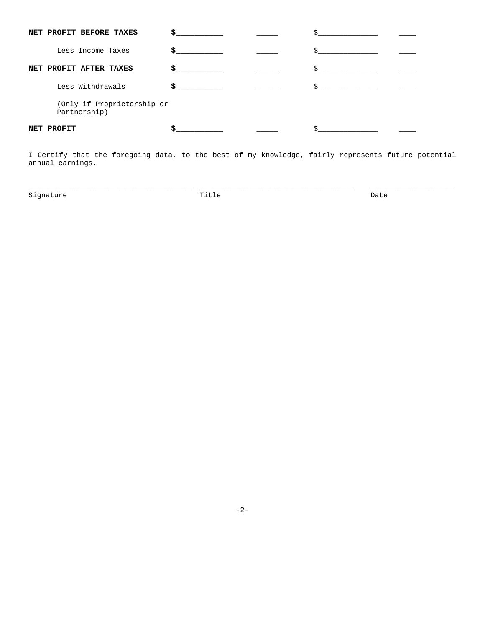| NET PROFIT BEFORE TAXES                    | s  |  | Š. |  |  |  |
|--------------------------------------------|----|--|----|--|--|--|
| Less Income Taxes                          | Ś. |  | Š. |  |  |  |
| NET PROFIT AFTER TAXES                     | Ś. |  | Š. |  |  |  |
| Less Withdrawals                           | Ś. |  | Š. |  |  |  |
| (Only if Proprietorship or<br>Partnership) |    |  |    |  |  |  |
| NET PROFIT                                 | ς  |  |    |  |  |  |

I Certify that the foregoing data, to the best of my knowledge, fairly represents future potential annual earnings.

Signature Date Date Propose of the Contract of the Date Date Date Date

\_\_\_\_\_\_\_\_\_\_\_\_\_\_\_\_\_\_\_\_\_\_\_\_\_\_\_\_\_\_\_\_\_\_\_\_\_\_ \_\_\_\_\_\_\_\_\_\_\_\_\_\_\_\_\_\_\_\_\_\_\_\_\_\_\_\_\_\_\_\_\_\_\_\_ \_\_\_\_\_\_\_\_\_\_\_\_\_\_\_\_\_\_\_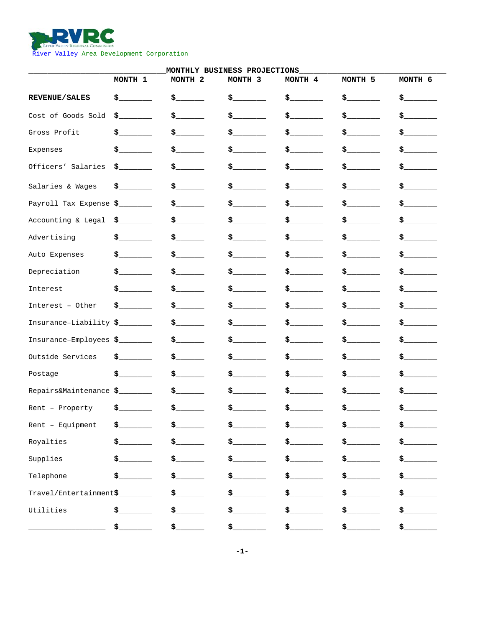

|                         |                                 |                           | MONTHLY BUSINESS PROJECTIONS |         |         |         |
|-------------------------|---------------------------------|---------------------------|------------------------------|---------|---------|---------|
|                         | MONTH 1                         | MONTH <sub>2</sub>        | MONTH 3                      | MONTH 4 | MONTH 5 | MONTH 6 |
| <b>REVENUE/SALES</b>    | \$_                             | $\mathsf{s}\_\_\_\_\_\$   | $\frac{1}{2}$                | \$_     | \$_     | \$.     |
| Cost of Goods Sold      | \$.                             | \$.                       | \$.                          | \$.     | \$.     | \$.     |
| Gross Profit            | \$_                             | \$__                      | \$_                          | \$_     | \$_     | \$_     |
| Expenses                | \$_                             | \$__                      | \$_                          | \$_     | \$_     | \$_     |
| Officers' Salaries      | $\frac{1}{2}$                   | $\mathsf{s}\_\_\_\_\_\_\$ | \$_                          | \$_     | \$_     | \$_     |
| Salaries & Wages        | $\frac{1}{2}$                   | $\frac{1}{2}$             | \$_                          | \$_     | \$      | \$.     |
| Payroll Tax Expense \$_ |                                 | $\mathsf{s}_-$            | \$_                          | \$      | \$      | \$.     |
| Accounting & Legal      | \$_                             | \$_                       | \$_                          | \$_     | \$_     | \$.     |
| Advertising             | \$_                             | \$_                       | \$_                          | \$_     | \$_     | \$.     |
| Auto Expenses           | $\frac{1}{2}$                   | \$_                       | \$_                          | \$_     | \$_     | \$_     |
| Depreciation            | \$_<br>$\sim$                   | \$_                       | \$_                          | \$_     | \$_     | \$.     |
| Interest                | \$.                             | \$.                       | \$.                          | \$.     | \$.     | \$      |
| Interest - Other        | \$_                             | \$.                       | \$.                          | \$.     | \$.     | \$.     |
| Insurance-Liability \$  |                                 | \$_                       | \$_                          | \$_     | \$_     | \$.     |
| Insurance-Employees \$  |                                 | $\mathsf{s}\_\_\_\_\_\_\$ | \$_                          | \$___   | \$_     | \$_     |
| Outside Services        | \$_<br><b>Contract Contract</b> | \$_                       | \$_                          | \$_     | \$_     | \$_     |
| Postage                 | \$_                             | \$.                       | \$.                          | \$.     | \$.     | \$.     |
| Repairs&Maintenance \$_ |                                 | \$.                       | \$.                          | \$.     | \$.     | \$.     |
| Rent - Property         | \$_                             | \$_                       | \$_                          | \$_     | \$_     | \$_     |
| Rent - Equipment        | \$.                             | \$.                       | \$                           | \$      | \$.     | \$.     |
| Royalties               | \$.                             | \$.                       | Ş.                           | S.      | Ş.      | Ş.      |
| Supplies                | \$_                             | \$.                       | \$_                          | \$.     | \$_     | \$_     |
| Telephone               | \$.                             | \$.                       | \$.                          | Ş.      | \$.     | Ş.      |
| Travel/Entertainment\$  |                                 | \$.                       | \$                           |         | Ş       |         |
| Utilities               | \$.                             | \$.                       | \$.                          |         | \$.     | Ş.      |
|                         | \$_                             | \$_                       | \$_                          | \$_     | \$_     | \$_     |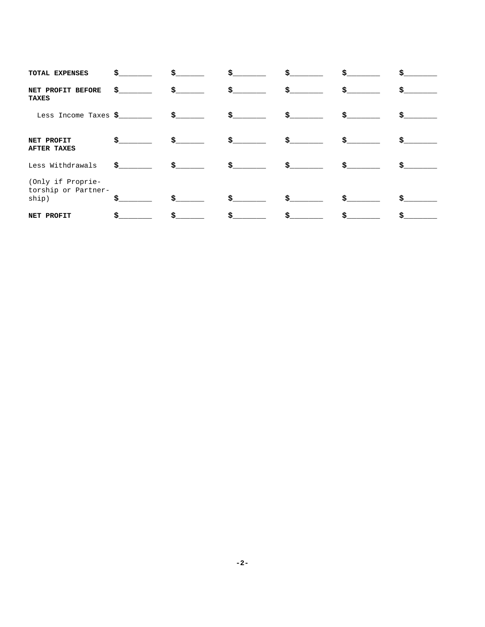| TOTAL EXPENSES                                                            | \$                                         | S.                                     | S.                                         | \$                                         |    |  |
|---------------------------------------------------------------------------|--------------------------------------------|----------------------------------------|--------------------------------------------|--------------------------------------------|----|--|
| NET PROFIT BEFORE<br><b>TAXES</b>                                         | $\mathsf{S}$ , and the set of $\mathsf{S}$ | \$.                                    | Ŝ.                                         | Ŝ.                                         | Ś. |  |
| Less Income Taxes $\frac{1}{2}$ $\frac{1}{2}$ $\frac{1}{2}$ $\frac{1}{2}$ |                                            |                                        | $\mathbf{s}$ , and the set of $\mathbf{s}$ | $\mathbf{s}$ , and the set of $\mathbf{s}$ | Š. |  |
| NET PROFIT<br><b>AFTER TAXES</b>                                          | $\sim$                                     | $\ddot{\mathbf{s}}$                    | $\mathbf{s}$ , and the set of $\mathbf{s}$ | $\sharp$ , where $\sharp$                  | Š. |  |
| Less Withdrawals                                                          | $\mathsf{s}$ and $\mathsf{s}$              | $\mathsf{S}$ . The set of $\mathsf{S}$ | $\mathbf{s}$ , and the set of $\mathbf{s}$ | $\mathsf{S}$ , and the set of $\mathsf{S}$ |    |  |
| (Only if Proprie-<br>torship or Partner-<br>ship)                         | Ś.                                         | Ś.                                     | Š.                                         | $\mathsf{S}$ , and the set of $\mathsf{S}$ |    |  |
| NET PROFIT                                                                |                                            | Ś                                      | Ś                                          |                                            |    |  |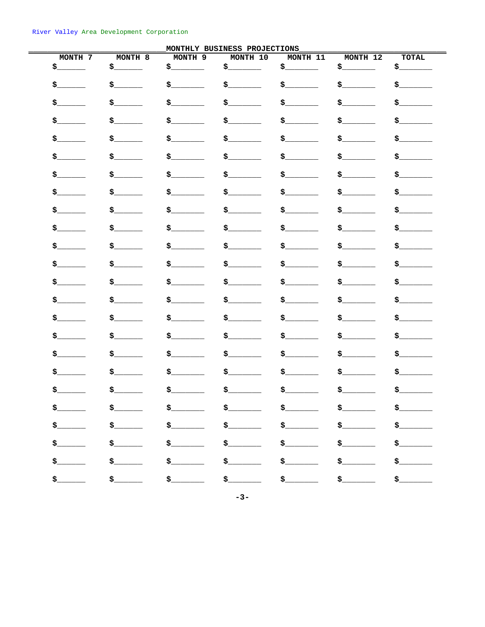#### River Valley Area Development Corporation

|                |                           |                              | MONTHLY BUSINESS PROJECTIONS                                                                                                                                                                                                                                                                                                                                        |                                                                                                                                                                                                                                                                                                                                                                                                                                                                 |                           |                              |
|----------------|---------------------------|------------------------------|---------------------------------------------------------------------------------------------------------------------------------------------------------------------------------------------------------------------------------------------------------------------------------------------------------------------------------------------------------------------|-----------------------------------------------------------------------------------------------------------------------------------------------------------------------------------------------------------------------------------------------------------------------------------------------------------------------------------------------------------------------------------------------------------------------------------------------------------------|---------------------------|------------------------------|
| MONTH 7<br>\$_ | MONTH <sub>8</sub><br>\$_ | MONTH <sub>9</sub><br>\$_    | MONTH 10<br>\$_                                                                                                                                                                                                                                                                                                                                                     | MONTH 11<br>\$_                                                                                                                                                                                                                                                                                                                                                                                                                                                 | MONTH 12<br>\$_           | TOTAL<br>\$_                 |
| \$_            | $\mathsf{s}\_\_\_\_\_\_\$ | $\mathsf{s}\_\_\_\_\_\_\$    | $\frac{1}{2}$                                                                                                                                                                                                                                                                                                                                                       | $\frac{1}{2}$                                                                                                                                                                                                                                                                                                                                                                                                                                                   | $\mathsf{s}\_\_\_\_\_\_\$ | \$_                          |
| \$_            | \$_                       | \$_                          | $\frac{1}{2}$                                                                                                                                                                                                                                                                                                                                                       | \$_                                                                                                                                                                                                                                                                                                                                                                                                                                                             | \$.                       | \$.                          |
| \$_            | \$_                       | \$_                          | \$_                                                                                                                                                                                                                                                                                                                                                                 | \$_                                                                                                                                                                                                                                                                                                                                                                                                                                                             | \$_                       | \$.                          |
| \$_            | $\frac{1}{2}$             | \$_                          | $\frac{1}{2}$                                                                                                                                                                                                                                                                                                                                                       | $\frac{1}{2}$                                                                                                                                                                                                                                                                                                                                                                                                                                                   | \$_                       | \$                           |
| \$_            | $\sim$                    | \$_                          | $\frac{1}{2}$                                                                                                                                                                                                                                                                                                                                                       | $\frac{1}{2}$                                                                                                                                                                                                                                                                                                                                                                                                                                                   | \$__                      | \$_                          |
| \$_            | $\frac{1}{2}$             | \$__                         | $\frac{1}{2}$                                                                                                                                                                                                                                                                                                                                                       | $\sim$                                                                                                                                                                                                                                                                                                                                                                                                                                                          | \$_                       | \$                           |
| \$_            | \$_                       | \$_                          | $\frac{1}{2}$                                                                                                                                                                                                                                                                                                                                                       |                                                                                                                                                                                                                                                                                                                                                                                                                                                                 | $\mathsf{s}_-$            | \$_                          |
| \$_            | \$_                       | \$_                          | $\frac{1}{2}$                                                                                                                                                                                                                                                                                                                                                       | \$_                                                                                                                                                                                                                                                                                                                                                                                                                                                             | \$_                       | \$_                          |
| \$_            | \$_                       | \$_                          | \$_                                                                                                                                                                                                                                                                                                                                                                 | \$_                                                                                                                                                                                                                                                                                                                                                                                                                                                             | \$_                       | \$_                          |
| \$_            | $\mathsf{s}\_\_\_\_\_\_\$ | $\mathsf{s}_{\_\_\_\_\_\_}$  | $\mathsf{s}\_\_$                                                                                                                                                                                                                                                                                                                                                    | \$_____                                                                                                                                                                                                                                                                                                                                                                                                                                                         | \$_                       | \$_                          |
| \$_            | \$_                       | \$__                         | $\frac{1}{2}$                                                                                                                                                                                                                                                                                                                                                       | \$_                                                                                                                                                                                                                                                                                                                                                                                                                                                             | \$_                       | \$.                          |
| \$_            | \$_                       | \$_                          | \$_                                                                                                                                                                                                                                                                                                                                                                 | \$_                                                                                                                                                                                                                                                                                                                                                                                                                                                             | \$_                       | \$.                          |
| \$_            | \$_                       | \$_                          | $\mathsf{s}$ . The set of $\mathsf{s}$                                                                                                                                                                                                                                                                                                                              | $\frac{1}{2}$                                                                                                                                                                                                                                                                                                                                                                                                                                                   | \$_                       | \$                           |
| \$_            | \$_                       | \$_                          | \$_                                                                                                                                                                                                                                                                                                                                                                 |                                                                                                                                                                                                                                                                                                                                                                                                                                                                 | \$_                       | \$_                          |
| \$_            | \$_                       | \$_                          | $\frac{1}{2}$                                                                                                                                                                                                                                                                                                                                                       | $\frac{1}{2}$                                                                                                                                                                                                                                                                                                                                                                                                                                                   | \$_                       | \$_                          |
| \$_            | \$_                       | \$_                          | $\mathsf{s}_-$                                                                                                                                                                                                                                                                                                                                                      | $\frac{1}{2}$                                                                                                                                                                                                                                                                                                                                                                                                                                                   | \$_                       | \$.                          |
| \$_            | \$_                       | \$_                          | \$_                                                                                                                                                                                                                                                                                                                                                                 | \$_                                                                                                                                                                                                                                                                                                                                                                                                                                                             | \$.                       | \$.                          |
|                |                           |                              |                                                                                                                                                                                                                                                                                                                                                                     |                                                                                                                                                                                                                                                                                                                                                                                                                                                                 |                           |                              |
| \$_            | \$.                       | \$                           | \$_                                                                                                                                                                                                                                                                                                                                                                 | \$.                                                                                                                                                                                                                                                                                                                                                                                                                                                             | \$.                       | \$                           |
| \$_______      | $\frac{1}{2}$             | $\mathsf{s}\_\_\_\_\_\_\_\_$ |                                                                                                                                                                                                                                                                                                                                                                     | $\begin{matrix} \texttt{\$} \texttt{\_} \texttt{\_} \texttt{\_} \texttt{\_} \texttt{\_} \texttt{\_} \texttt{\_} \texttt{\_} \texttt{\_} \texttt{\_} \texttt{\_} \texttt{\_} \texttt{\_} \texttt{\_} \texttt{\_} \texttt{\_} \texttt{\_} \texttt{\_} \texttt{\_} \texttt{\_} \texttt{\_} \texttt{\_} \texttt{\_} \texttt{\_} \texttt{\_} \texttt{\_} \texttt{\_} \texttt{\_} \texttt{\_} \texttt{\_} \texttt{\_} \texttt{\_} \texttt{\_} \texttt{\_} \texttt{\_$ |                           | $\mathsf{s}\_\_\_\_\_\_\$    |
|                |                           |                              |                                                                                                                                                                                                                                                                                                                                                                     |                                                                                                                                                                                                                                                                                                                                                                                                                                                                 |                           | $\frac{1}{2}$                |
| $\frac{1}{2}$  | $\sim$                    |                              |                                                                                                                                                                                                                                                                                                                                                                     | $\sim$                                                                                                                                                                                                                                                                                                                                                                                                                                                          |                           |                              |
| $\frac{1}{2}$  | $\sim$                    | $\frac{1}{2}$                | $\begin{picture}(20,10) \put(0,0){\vector(1,0){100}} \put(15,0){\vector(1,0){100}} \put(15,0){\vector(1,0){100}} \put(15,0){\vector(1,0){100}} \put(15,0){\vector(1,0){100}} \put(15,0){\vector(1,0){100}} \put(15,0){\vector(1,0){100}} \put(15,0){\vector(1,0){100}} \put(15,0){\vector(1,0){100}} \put(15,0){\vector(1,0){100}} \put(15,0){\vector(1,0){100}} \$ |                                                                                                                                                                                                                                                                                                                                                                                                                                                                 |                           | $\frac{1}{2}$                |
|                | $\frac{1}{2}$             |                              | $\begin{matrix} \texttt{\$} & \texttt{\$} & \texttt{\$} & \texttt{\$} & \texttt{\$} & \texttt{\$} & \texttt{\$} & \texttt{\$} & \texttt{\$} & \end{matrix}$                                                                                                                                                                                                         |                                                                                                                                                                                                                                                                                                                                                                                                                                                                 |                           | $\mathsf{s}\_\_\_\_\_\_\_\_$ |

 $-3-$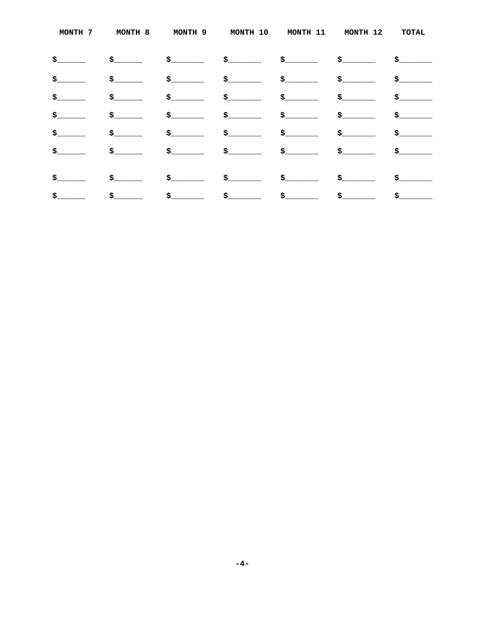|                     |                          |               | MONTH 7 MONTH 8 MONTH 9 MONTH 10 MONTH 11                                                                                                                                                                                                                                                                                                                                                                                                                       |               | <b>MONTH 12</b> | TOTAL                                                    |
|---------------------|--------------------------|---------------|-----------------------------------------------------------------------------------------------------------------------------------------------------------------------------------------------------------------------------------------------------------------------------------------------------------------------------------------------------------------------------------------------------------------------------------------------------------------|---------------|-----------------|----------------------------------------------------------|
|                     |                          |               | $\begin{matrix} \texttt{S} \texttt{0} & \texttt{S} \texttt{1} & \texttt{S} \texttt{1} & \texttt{S} \texttt{1} & \texttt{S} \texttt{1} & \texttt{S} \texttt{1} & \texttt{S} \texttt{1} & \texttt{S} \texttt{1} & \texttt{S} \texttt{1} & \texttt{S} \texttt{1} & \texttt{S} \texttt{1} & \texttt{S} \texttt{1} & \texttt{S} \texttt{1} & \texttt{S} \texttt{1} & \texttt{S} \texttt{1} & \texttt{S} \texttt{1} & \texttt{S} \$                                   |               |                 | \$_________                                              |
| $\frac{1}{2}$       | $s$ <sub>_________</sub> |               | $\mathsf{s}$ and $\mathsf{s}$ and $\mathsf{s}$ and $\mathsf{s}$ and $\mathsf{s}$ and $\mathsf{s}$ and $\mathsf{s}$ and $\mathsf{s}$ and $\mathsf{s}$ and $\mathsf{s}$ and $\mathsf{s}$ and $\mathsf{s}$ and $\mathsf{s}$ and $\mathsf{s}$ and $\mathsf{s}$ and $\mathsf{s}$ and $\mathsf{s}$ and $\mathsf{s}$ and $\mathsf{s$                                                                                                                                   |               | $\frac{1}{2}$   | $\sim$                                                   |
| $\frac{1}{2}$       | $\sim$                   |               | $\begin{matrix} \texttt{s} \hspace{1.5cm} & \texttt{s} \hspace{1.5cm} & \texttt{s} \hspace{1.5cm} & \texttt{s} \hspace{1.5cm} & \texttt{s} \hspace{1.5cm} & \texttt{s} \hspace{1.5cm} & \texttt{s} \hspace{1.5cm} & \texttt{s} \hspace{1.5cm} & \texttt{s} \hspace{1.5cm} & \texttt{s} \hspace{1.5cm} & \texttt{s} \hspace{1.5cm} & \texttt{s} \hspace{1.5cm} & \texttt{s} \hspace{1.5cm} & \texttt{s} \hspace{$                                                |               | $\sim$          |                                                          |
| $\frac{1}{2}$       |                          |               | $\begin{matrix} \texttt{\$} \texttt{\$} \texttt{\$} \texttt{\$} \texttt{\$} \texttt{\$} \texttt{\$} \texttt{\$} \texttt{\$} \texttt{\$} \texttt{\$} \texttt{\$} \texttt{\$} \texttt{\$} \texttt{\$} \texttt{\$} \texttt{\$} \texttt{\$} \texttt{\$} \texttt{\$} \texttt{\$} \texttt{\$} \texttt{\$} \texttt{\$} \texttt{\$} \texttt{\$} \texttt{\$} \texttt{\$} \texttt{\$} \texttt{\$} \texttt{\$} \texttt{\$} \texttt{\$} \texttt{\$} \texttt{\$} \texttt{\$$ |               |                 | $\mathsf{s}\_\_\_\_\_\_\$                                |
| $\frac{1}{2}$       |                          |               | $\begin{matrix} \texttt{\$} \texttt{\$} \texttt{\$} \texttt{\$} \texttt{\$} \texttt{\$} \texttt{\$} \texttt{\$} \texttt{\$} \texttt{\$} \texttt{\$} \texttt{\$} \texttt{\$} \texttt{\$} \texttt{\$} \texttt{\$} \texttt{\$} \texttt{\$} \texttt{\$} \texttt{\$} \texttt{\$} \texttt{\$} \texttt{\$} \texttt{\$} \texttt{\$} \texttt{\$} \texttt{\$} \texttt{\$} \texttt{\$} \texttt{\$} \texttt{\$} \texttt{\$} \texttt{\$} \texttt{\$} \texttt{\$} \texttt{\$$ |               | $\sim$          |                                                          |
| $\sim$              |                          |               | $$$ $$$                                                                                                                                                                                                                                                                                                                                                                                                                                                         | $\sim$        | $\frac{1}{2}$   | \$________                                               |
|                     |                          |               |                                                                                                                                                                                                                                                                                                                                                                                                                                                                 |               |                 |                                                          |
| $\mathsf{s}$ ______ | $\sim$                   | $\frac{1}{2}$ |                                                                                                                                                                                                                                                                                                                                                                                                                                                                 | $\sim$ $\sim$ |                 |                                                          |
| S.                  | $\sim$                   | $\sim$        | $\sim$                                                                                                                                                                                                                                                                                                                                                                                                                                                          | $\sim$        | $\frac{1}{2}$   | $\ddot{\mathbf{s}}$ , and the set of $\ddot{\mathbf{s}}$ |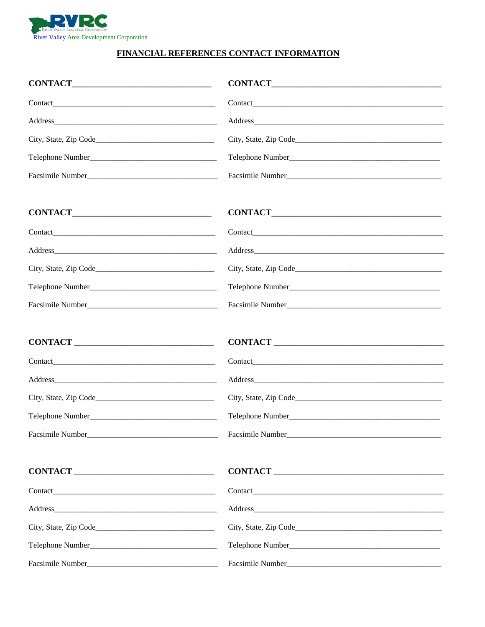

# FINANCIAL REFERENCES CONTACT INFORMATION

| $CONTACT \n$                                                                                                                                                                                                                                                                             |           |
|------------------------------------------------------------------------------------------------------------------------------------------------------------------------------------------------------------------------------------------------------------------------------------------|-----------|
|                                                                                                                                                                                                                                                                                          |           |
|                                                                                                                                                                                                                                                                                          |           |
|                                                                                                                                                                                                                                                                                          |           |
|                                                                                                                                                                                                                                                                                          |           |
|                                                                                                                                                                                                                                                                                          |           |
| $CONTACT$                                                                                                                                                                                                                                                                                |           |
|                                                                                                                                                                                                                                                                                          |           |
|                                                                                                                                                                                                                                                                                          |           |
|                                                                                                                                                                                                                                                                                          |           |
|                                                                                                                                                                                                                                                                                          |           |
|                                                                                                                                                                                                                                                                                          |           |
|                                                                                                                                                                                                                                                                                          |           |
| $CONTACT ________ ________ ________ ________ ________ ________ ________ ________ ________ ________ ________ ________ ________ ________ ________ ________ ________ ________ ________ ________ ________ ________ ________ ________ ________ ________ ________ ________ ________ ________ $ |           |
|                                                                                                                                                                                                                                                                                          |           |
|                                                                                                                                                                                                                                                                                          |           |
|                                                                                                                                                                                                                                                                                          |           |
|                                                                                                                                                                                                                                                                                          |           |
|                                                                                                                                                                                                                                                                                          |           |
| $CONTACT$                                                                                                                                                                                                                                                                                | $CONTACT$ |
|                                                                                                                                                                                                                                                                                          |           |
|                                                                                                                                                                                                                                                                                          |           |
|                                                                                                                                                                                                                                                                                          |           |
|                                                                                                                                                                                                                                                                                          |           |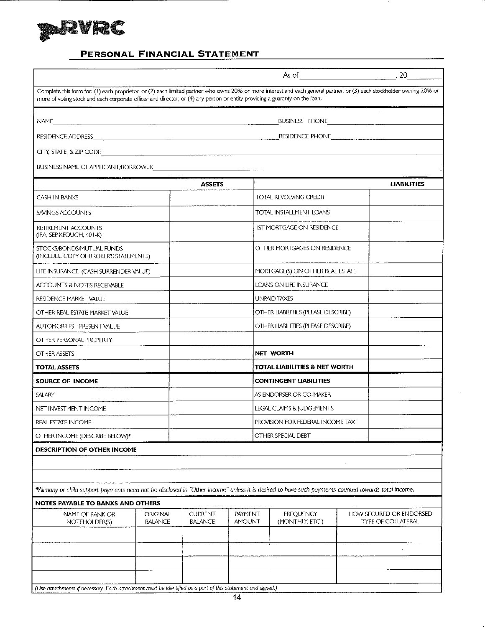

### PERSONAL FINANCIAL STATEMENT

|                                                                                                                                                                                                                                                                                                       | As of $\sim$ 20                   |                                  |                                 |                                     |  |  |                                               |  |
|-------------------------------------------------------------------------------------------------------------------------------------------------------------------------------------------------------------------------------------------------------------------------------------------------------|-----------------------------------|----------------------------------|---------------------------------|-------------------------------------|--|--|-----------------------------------------------|--|
| Complete this form for: (1) each proprietor, or (2) each limited partner who owns 20% or more interest and each general partner, or (3) each stockholder owning 20% or<br>more of voting stock and each corporate officer and director, or (4) any person or entity providing a guaranty on the loan. |                                   |                                  |                                 |                                     |  |  |                                               |  |
| NAME                                                                                                                                                                                                                                                                                                  |                                   |                                  |                                 |                                     |  |  |                                               |  |
| RESIDENCE PHONE <b>And CONTACT CONTACT CONTACT CONTACT CONTACT CONTACT CONTACT CONTACT CONTACT CONTACT CONTACT CONTACT CONTACT CONTACT CONTACT CONTACT CONTACT CONTACT CONTACT CONTACT CONTACT CONTACT CONTACT CONTACT CONTACT C</b>                                                                  |                                   |                                  |                                 |                                     |  |  |                                               |  |
|                                                                                                                                                                                                                                                                                                       |                                   |                                  |                                 |                                     |  |  |                                               |  |
| <b>BUSINESS NAME OF APPLICANT/BORROWER</b>                                                                                                                                                                                                                                                            |                                   |                                  |                                 |                                     |  |  |                                               |  |
|                                                                                                                                                                                                                                                                                                       |                                   | <b>ASSETS</b>                    |                                 |                                     |  |  | <b>LIABILITIES</b>                            |  |
| CASH IN BANKS                                                                                                                                                                                                                                                                                         |                                   |                                  |                                 | TOTAL REVOLVING CREDIT              |  |  |                                               |  |
| SAVINGS ACCOUNTS                                                                                                                                                                                                                                                                                      |                                   |                                  |                                 | TOTAL INSTALLMENT LOANS             |  |  |                                               |  |
| RETIREMENT ACCOUNTS<br>(IRA, SEP KEOUGH, 401-K)                                                                                                                                                                                                                                                       |                                   |                                  |                                 | <b>IST MORTGAGE ON RESIDENCE</b>    |  |  |                                               |  |
| STOCKS/BONDS/MUTUAL FUNDS<br>(INCLUDE COPY OF BROKER'S STATEMENTS)                                                                                                                                                                                                                                    |                                   |                                  |                                 | OTHER MORTGAGES ON RESIDENCE        |  |  |                                               |  |
| LIFE INSURANCE (CASH SURRENDER VALUE)                                                                                                                                                                                                                                                                 |                                   |                                  |                                 | MORTGAGE(S) ON OTHER REAL ESTATE    |  |  |                                               |  |
| <b>ACCOUNTS &amp; NOTES RECEIVABLE</b>                                                                                                                                                                                                                                                                |                                   |                                  |                                 | LOANS ON LIFE INSURANCE             |  |  |                                               |  |
| RESIDENCE MARKET VALUE                                                                                                                                                                                                                                                                                |                                   |                                  |                                 | UNPAID TAXES                        |  |  |                                               |  |
| OTHER REAL ESTATE MARKET VALUE                                                                                                                                                                                                                                                                        |                                   |                                  |                                 | OTHER LIABILITIES (PLEASE DESCRIBE) |  |  |                                               |  |
| AUTOMOBILES - PRESENT VALUE                                                                                                                                                                                                                                                                           |                                   |                                  |                                 | OTHER LIABILITIES (PLEASE DESCRIBE) |  |  |                                               |  |
| OTHER PERSONAL PROPERTY                                                                                                                                                                                                                                                                               |                                   |                                  |                                 |                                     |  |  |                                               |  |
| <b>OTHER ASSETS</b>                                                                                                                                                                                                                                                                                   |                                   |                                  |                                 | <b>NET WORTH</b>                    |  |  |                                               |  |
| <b>TOTAL ASSETS</b>                                                                                                                                                                                                                                                                                   |                                   |                                  |                                 | TOTAL LIABILITIES & NET WORTH       |  |  |                                               |  |
| SOURCE OF INCOME                                                                                                                                                                                                                                                                                      |                                   |                                  |                                 | <b>CONTINGENT LIABILITIES</b>       |  |  |                                               |  |
| SALARY                                                                                                                                                                                                                                                                                                |                                   |                                  |                                 | AS ENDORSER OR CO-MAKER             |  |  |                                               |  |
| NET INVESTMENT INCOME                                                                                                                                                                                                                                                                                 |                                   |                                  |                                 | LEGAL CLAIMS & JUDGEMENTS           |  |  |                                               |  |
| REAL ESTATE INCOME                                                                                                                                                                                                                                                                                    |                                   |                                  |                                 | PROVISION FOR FEDERAL INCOME TAX    |  |  |                                               |  |
| OTHER INCOME (DESCRIBE BELOW)*                                                                                                                                                                                                                                                                        |                                   |                                  |                                 | OTHER SPECIAL DEBT                  |  |  |                                               |  |
| DESCRIPTION OF OTHER INCOME                                                                                                                                                                                                                                                                           |                                   |                                  |                                 |                                     |  |  |                                               |  |
|                                                                                                                                                                                                                                                                                                       |                                   |                                  |                                 |                                     |  |  |                                               |  |
|                                                                                                                                                                                                                                                                                                       |                                   |                                  |                                 |                                     |  |  |                                               |  |
| *Alimony or child support payments need not be disclosed in "Other Income" unless it is desired to have such payments counted towards total income.                                                                                                                                                   |                                   |                                  |                                 |                                     |  |  |                                               |  |
| NOTES PAYABLE TO BANKS AND OTHERS                                                                                                                                                                                                                                                                     |                                   |                                  |                                 |                                     |  |  |                                               |  |
| NAME OF BANK OR<br>NOTEHOLDER(S)                                                                                                                                                                                                                                                                      | <b>ORIGINAL</b><br><b>BALANCE</b> | <b>CURRENT</b><br><b>BALANCE</b> | <b>PAYMENT</b><br><b>AMOUNT</b> | <b>FREQUENCY</b><br>(MONTHLY, ETC.) |  |  | HOW SECURED OR ENDORSED<br>TYPE OF COLLATERAL |  |
|                                                                                                                                                                                                                                                                                                       |                                   |                                  |                                 |                                     |  |  |                                               |  |
|                                                                                                                                                                                                                                                                                                       |                                   |                                  |                                 |                                     |  |  |                                               |  |
|                                                                                                                                                                                                                                                                                                       |                                   |                                  |                                 |                                     |  |  |                                               |  |
| (Use attachments if pecessary Each attachment must be identified as a bart of this statement and signed.)                                                                                                                                                                                             |                                   |                                  |                                 |                                     |  |  |                                               |  |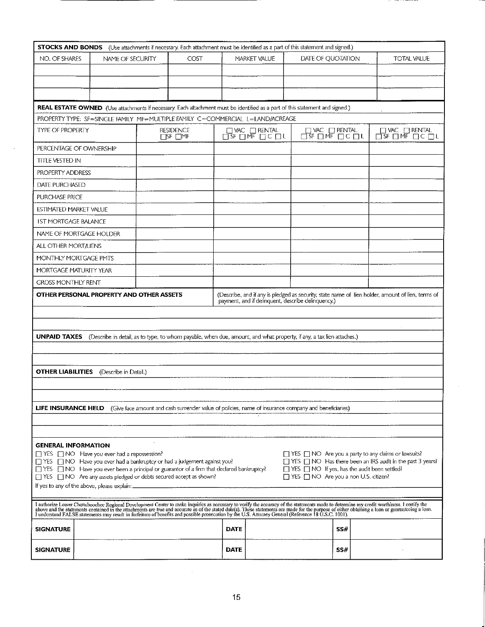| <b>STOCKS AND BONDS</b> (Use attachments if necessary. Each attachment must be identified as a part of this statement and signed.)                                                                                                                                   |                                          |                                         |                                                                                                                              |                                                                                                                                                                                                                                                                                                     |              |                                                    |     |                                                                                                                                                                                |                                                                                                   |
|----------------------------------------------------------------------------------------------------------------------------------------------------------------------------------------------------------------------------------------------------------------------|------------------------------------------|-----------------------------------------|------------------------------------------------------------------------------------------------------------------------------|-----------------------------------------------------------------------------------------------------------------------------------------------------------------------------------------------------------------------------------------------------------------------------------------------------|--------------|----------------------------------------------------|-----|--------------------------------------------------------------------------------------------------------------------------------------------------------------------------------|---------------------------------------------------------------------------------------------------|
| NO. OF SHARES                                                                                                                                                                                                                                                        | NAME OF SECURITY                         |                                         | COST                                                                                                                         |                                                                                                                                                                                                                                                                                                     | MARKET VALUE | DATE OF QUOTATION                                  |     |                                                                                                                                                                                | <b>TOTAL VALUE</b>                                                                                |
|                                                                                                                                                                                                                                                                      |                                          |                                         |                                                                                                                              |                                                                                                                                                                                                                                                                                                     |              |                                                    |     |                                                                                                                                                                                |                                                                                                   |
|                                                                                                                                                                                                                                                                      |                                          |                                         |                                                                                                                              |                                                                                                                                                                                                                                                                                                     |              |                                                    |     |                                                                                                                                                                                |                                                                                                   |
|                                                                                                                                                                                                                                                                      |                                          |                                         |                                                                                                                              |                                                                                                                                                                                                                                                                                                     |              |                                                    |     |                                                                                                                                                                                |                                                                                                   |
|                                                                                                                                                                                                                                                                      |                                          |                                         | REAL ESTATE OWNED (Use attachments if necessary. Each attachment must be identified as a part of this statement and signed.) |                                                                                                                                                                                                                                                                                                     |              |                                                    |     |                                                                                                                                                                                |                                                                                                   |
|                                                                                                                                                                                                                                                                      |                                          |                                         | PROPERTY TYPE: SF=SINGLE FAMILY MF=MULTIPLE FAMILY C=COMMERCIAL L=LAND/ACREAGE                                               |                                                                                                                                                                                                                                                                                                     |              |                                                    |     |                                                                                                                                                                                |                                                                                                   |
| <b>TYPE OF PROPERTY</b>                                                                                                                                                                                                                                              |                                          | <b>RESIDENCE</b><br>$\Box$ SF $\Box$ MF |                                                                                                                              | $\begin{array}{c} \square \text{ VAC } \square \text{ RENTIAL} \\ \square \text{ SF } \square \text{ MF } \square \text{ C } \square \text{ L} \end{array}$<br>$\begin{array}{c}\n\Box \text{ VAC} \\ \Box \text{ SF} \quad \Box \text{ ME} \quad \Box \text{ C} \quad \Box \text{ L}\n\end{array}$ |              |                                                    |     | $\begin{array}{c} \square \text{ VAC} \quad \square \text{ RENTAL} \\ \square \text{ SF} \quad \square \text{ MF} \quad \square \text{ C} \quad \square \text{ L} \end{array}$ |                                                                                                   |
| PERCENTAGE OF OWNERSHIP                                                                                                                                                                                                                                              |                                          |                                         |                                                                                                                              |                                                                                                                                                                                                                                                                                                     |              |                                                    |     |                                                                                                                                                                                |                                                                                                   |
| TITLE VESTED IN                                                                                                                                                                                                                                                      |                                          |                                         |                                                                                                                              |                                                                                                                                                                                                                                                                                                     |              |                                                    |     |                                                                                                                                                                                |                                                                                                   |
| PROPERTY ADDRESS                                                                                                                                                                                                                                                     |                                          |                                         |                                                                                                                              |                                                                                                                                                                                                                                                                                                     |              |                                                    |     |                                                                                                                                                                                |                                                                                                   |
| DATE PURCHASED                                                                                                                                                                                                                                                       |                                          |                                         |                                                                                                                              |                                                                                                                                                                                                                                                                                                     |              |                                                    |     |                                                                                                                                                                                |                                                                                                   |
| PURCHASE PRICE                                                                                                                                                                                                                                                       |                                          |                                         |                                                                                                                              |                                                                                                                                                                                                                                                                                                     |              |                                                    |     |                                                                                                                                                                                |                                                                                                   |
| ESTIMATED MARKET VALUE                                                                                                                                                                                                                                               |                                          |                                         |                                                                                                                              |                                                                                                                                                                                                                                                                                                     |              |                                                    |     |                                                                                                                                                                                |                                                                                                   |
| <b>IST MORTGAGE BALANCE</b>                                                                                                                                                                                                                                          |                                          |                                         |                                                                                                                              |                                                                                                                                                                                                                                                                                                     |              |                                                    |     |                                                                                                                                                                                |                                                                                                   |
| NAME OF MORTGAGE HOLDER                                                                                                                                                                                                                                              |                                          |                                         |                                                                                                                              |                                                                                                                                                                                                                                                                                                     |              |                                                    |     |                                                                                                                                                                                |                                                                                                   |
| ALL OTHER MORT/LIENS                                                                                                                                                                                                                                                 |                                          |                                         |                                                                                                                              |                                                                                                                                                                                                                                                                                                     |              |                                                    |     |                                                                                                                                                                                |                                                                                                   |
| MONTHLY MORTGAGE PMTS                                                                                                                                                                                                                                                |                                          |                                         |                                                                                                                              |                                                                                                                                                                                                                                                                                                     |              |                                                    |     |                                                                                                                                                                                |                                                                                                   |
| MORTGAGE MATURITY YEAR                                                                                                                                                                                                                                               |                                          |                                         |                                                                                                                              |                                                                                                                                                                                                                                                                                                     |              |                                                    |     |                                                                                                                                                                                |                                                                                                   |
| <b>GROSS MONTHLY RENT</b>                                                                                                                                                                                                                                            |                                          |                                         |                                                                                                                              |                                                                                                                                                                                                                                                                                                     |              |                                                    |     |                                                                                                                                                                                |                                                                                                   |
|                                                                                                                                                                                                                                                                      | OTHER PERSONAL PROPERTY AND OTHER ASSETS |                                         |                                                                                                                              |                                                                                                                                                                                                                                                                                                     |              |                                                    |     |                                                                                                                                                                                | (Describe, and if any is pledged as security, state name of lien holder, amount of lien, terms of |
|                                                                                                                                                                                                                                                                      |                                          |                                         |                                                                                                                              |                                                                                                                                                                                                                                                                                                     |              | payment, and if delinquent, describe delinquency.) |     |                                                                                                                                                                                |                                                                                                   |
|                                                                                                                                                                                                                                                                      |                                          |                                         |                                                                                                                              |                                                                                                                                                                                                                                                                                                     |              |                                                    |     |                                                                                                                                                                                |                                                                                                   |
|                                                                                                                                                                                                                                                                      |                                          |                                         |                                                                                                                              |                                                                                                                                                                                                                                                                                                     |              |                                                    |     |                                                                                                                                                                                |                                                                                                   |
| UNPAID TAXES                                                                                                                                                                                                                                                         |                                          |                                         | (Describe in detail, as to type, to whom payable, when due, amount, and what property, if any, a tax lien attaches.)         |                                                                                                                                                                                                                                                                                                     |              |                                                    |     |                                                                                                                                                                                |                                                                                                   |
|                                                                                                                                                                                                                                                                      |                                          |                                         |                                                                                                                              |                                                                                                                                                                                                                                                                                                     |              |                                                    |     |                                                                                                                                                                                |                                                                                                   |
|                                                                                                                                                                                                                                                                      |                                          |                                         |                                                                                                                              |                                                                                                                                                                                                                                                                                                     |              |                                                    |     |                                                                                                                                                                                |                                                                                                   |
| <b>OTHER LIABILITIES</b> (Describe in Detail.)                                                                                                                                                                                                                       |                                          |                                         |                                                                                                                              |                                                                                                                                                                                                                                                                                                     |              |                                                    |     |                                                                                                                                                                                |                                                                                                   |
|                                                                                                                                                                                                                                                                      |                                          |                                         |                                                                                                                              |                                                                                                                                                                                                                                                                                                     |              |                                                    |     |                                                                                                                                                                                |                                                                                                   |
|                                                                                                                                                                                                                                                                      |                                          |                                         |                                                                                                                              |                                                                                                                                                                                                                                                                                                     |              |                                                    |     |                                                                                                                                                                                |                                                                                                   |
| <b>LIFE INSURANCE HELD</b> (Give face amount and cash surrender value of policies, name of insurance company and beneficiaries)                                                                                                                                      |                                          |                                         |                                                                                                                              |                                                                                                                                                                                                                                                                                                     |              |                                                    |     |                                                                                                                                                                                |                                                                                                   |
|                                                                                                                                                                                                                                                                      |                                          |                                         |                                                                                                                              |                                                                                                                                                                                                                                                                                                     |              |                                                    |     |                                                                                                                                                                                |                                                                                                   |
|                                                                                                                                                                                                                                                                      |                                          |                                         |                                                                                                                              |                                                                                                                                                                                                                                                                                                     |              |                                                    |     |                                                                                                                                                                                |                                                                                                   |
| <b>GENERAL INFORMATION</b>                                                                                                                                                                                                                                           |                                          |                                         |                                                                                                                              |                                                                                                                                                                                                                                                                                                     |              |                                                    |     |                                                                                                                                                                                |                                                                                                   |
| □ YES □ NO Are you a party to any daims or lawsuits?<br>$\Box$ YES $\Box$ NO Have you ever had a repossession?<br>□ YES □ NO Has there been an IRS audit in the past 3 years?<br>$\Box$ YES $\Box$ NO Have you ever had a bankruptcy or had a judgement against you? |                                          |                                         |                                                                                                                              |                                                                                                                                                                                                                                                                                                     |              |                                                    |     |                                                                                                                                                                                |                                                                                                   |
| $\Box$ YES $\Box$ NO Have you ever been a principal or guarantor of a firm that declared bankruptcy?<br>□ YES □ NO If yes, has the audit been settled?                                                                                                               |                                          |                                         |                                                                                                                              |                                                                                                                                                                                                                                                                                                     |              |                                                    |     |                                                                                                                                                                                |                                                                                                   |
| □ YES □ NO Are any assets pledged or debts secured accept as shown?<br>□ YES □ NO Are you a non U.S. citizen?<br>If yes to any of the above, please explain:                                                                                                         |                                          |                                         |                                                                                                                              |                                                                                                                                                                                                                                                                                                     |              |                                                    |     |                                                                                                                                                                                |                                                                                                   |
|                                                                                                                                                                                                                                                                      |                                          |                                         |                                                                                                                              |                                                                                                                                                                                                                                                                                                     |              |                                                    |     |                                                                                                                                                                                |                                                                                                   |
| I authorize Lower Chattahoochee Regional Development Center to make inquiries as necessary to verify the accuracy of the statements made to determine my credit worthiness. I certify the above and the statements contained i                                       |                                          |                                         |                                                                                                                              |                                                                                                                                                                                                                                                                                                     |              |                                                    |     |                                                                                                                                                                                |                                                                                                   |
| <b>SIGNATURE</b>                                                                                                                                                                                                                                                     |                                          |                                         |                                                                                                                              | <b>DATE</b>                                                                                                                                                                                                                                                                                         |              |                                                    | SS# |                                                                                                                                                                                |                                                                                                   |
| <b>SIGNATURE</b>                                                                                                                                                                                                                                                     |                                          |                                         |                                                                                                                              | <b>DATE</b>                                                                                                                                                                                                                                                                                         |              |                                                    | SS# |                                                                                                                                                                                |                                                                                                   |

 $\hat{\mathcal{A}}$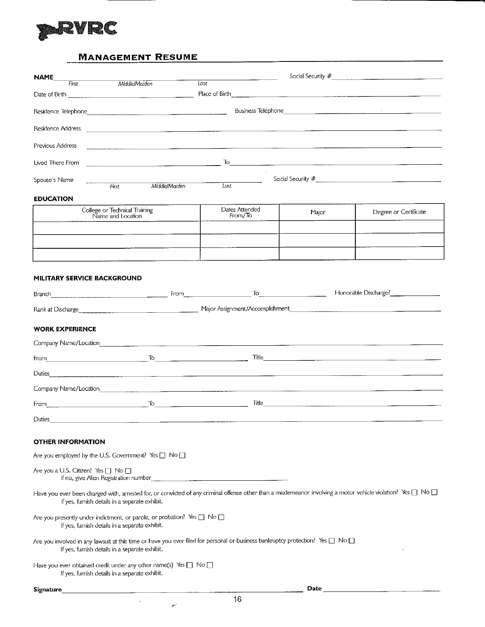

**MANAGEMENT RESUME** 

| <b>NAME</b>                        |                                                                                                                                                                                                                                                                |                |       |                                                                                                                                                                        |  |  |  |  |
|------------------------------------|----------------------------------------------------------------------------------------------------------------------------------------------------------------------------------------------------------------------------------------------------------------|----------------|-------|------------------------------------------------------------------------------------------------------------------------------------------------------------------------|--|--|--|--|
| First                              | Middle/Maiden<br>Date of Birth <b>Commission Commission</b> Place of Birth <b>Commission</b> Place of Birth <b>Commission</b> Commission and the Commission of the Commission of the Commission of the Commission of the Commission of the Commission of the C | Last           |       |                                                                                                                                                                        |  |  |  |  |
|                                    |                                                                                                                                                                                                                                                                |                |       |                                                                                                                                                                        |  |  |  |  |
|                                    |                                                                                                                                                                                                                                                                |                |       |                                                                                                                                                                        |  |  |  |  |
| Residence Address                  |                                                                                                                                                                                                                                                                |                |       | <u> 1999 - Johann Stoff, deutscher Stoff, der Stoff, der Stoff, der Stoff, der Stoff, der Stoff, der Stoff, der S</u>                                                  |  |  |  |  |
| Previous Address                   |                                                                                                                                                                                                                                                                |                |       |                                                                                                                                                                        |  |  |  |  |
| Lived There From                   |                                                                                                                                                                                                                                                                |                |       |                                                                                                                                                                        |  |  |  |  |
| Spouse's Name                      |                                                                                                                                                                                                                                                                |                |       |                                                                                                                                                                        |  |  |  |  |
|                                    | Middle/Maiden<br><b>First</b>                                                                                                                                                                                                                                  | Last           |       |                                                                                                                                                                        |  |  |  |  |
| <b>EDUCATION</b>                   | College or Technical Training<br>Name and Location                                                                                                                                                                                                             | Dates Attended | Major | Degree or Certificate                                                                                                                                                  |  |  |  |  |
|                                    |                                                                                                                                                                                                                                                                | From/To        |       |                                                                                                                                                                        |  |  |  |  |
|                                    |                                                                                                                                                                                                                                                                |                |       |                                                                                                                                                                        |  |  |  |  |
|                                    |                                                                                                                                                                                                                                                                |                |       |                                                                                                                                                                        |  |  |  |  |
|                                    |                                                                                                                                                                                                                                                                |                |       |                                                                                                                                                                        |  |  |  |  |
| <b>MILITARY SERVICE BACKGROUND</b> |                                                                                                                                                                                                                                                                |                |       |                                                                                                                                                                        |  |  |  |  |
|                                    |                                                                                                                                                                                                                                                                |                |       | Honorable Discharge?                                                                                                                                                   |  |  |  |  |
|                                    |                                                                                                                                                                                                                                                                |                |       | Rank at Discharge <u>Communication of the Communication of Major Assignment</u> /Accomplishment <u>Communication of the Communication</u>                              |  |  |  |  |
| <b>WORK EXPERIENCE</b>             |                                                                                                                                                                                                                                                                |                |       |                                                                                                                                                                        |  |  |  |  |
|                                    | Company Name/Location entry the company of the company Name/Location                                                                                                                                                                                           |                |       |                                                                                                                                                                        |  |  |  |  |
|                                    |                                                                                                                                                                                                                                                                |                |       | <u>From To To The Title The Communication of the Title</u>                                                                                                             |  |  |  |  |
|                                    |                                                                                                                                                                                                                                                                |                |       |                                                                                                                                                                        |  |  |  |  |
|                                    |                                                                                                                                                                                                                                                                |                |       |                                                                                                                                                                        |  |  |  |  |
|                                    |                                                                                                                                                                                                                                                                |                |       | <u>From To To The Title The Title Service School Title</u>                                                                                                             |  |  |  |  |
| Duties                             |                                                                                                                                                                                                                                                                |                |       |                                                                                                                                                                        |  |  |  |  |
|                                    |                                                                                                                                                                                                                                                                |                |       |                                                                                                                                                                        |  |  |  |  |
| OTHER INFORMATION                  |                                                                                                                                                                                                                                                                |                |       |                                                                                                                                                                        |  |  |  |  |
|                                    | Are you employed by the U.S. Government? Yes $\Box$ No $\Box$                                                                                                                                                                                                  |                |       |                                                                                                                                                                        |  |  |  |  |
| Are you a U.S. Citizen? Yes □ No □ |                                                                                                                                                                                                                                                                |                |       |                                                                                                                                                                        |  |  |  |  |
|                                    | If yes, furnish details in a separate exhibit.                                                                                                                                                                                                                 |                |       | Have you ever been charged with, arrested for, or convicted of any criminal offense other than a misdemeanor involving a motor vehicle violation? Yes $\Box$ No $\Box$ |  |  |  |  |
|                                    | Are you presently under indictment, or parole, or probation? Yes $\Box$ No $\Box$<br>If yes, furnish details in a separate exhibit.                                                                                                                            |                |       |                                                                                                                                                                        |  |  |  |  |
|                                    | Are you involved in any lawsuit at this time or have you ever filed for personal or business bankruptcy protection? Yes $\Box$ No $\Box$<br>If yes, furnish details in a separate exhibit.                                                                     |                |       |                                                                                                                                                                        |  |  |  |  |
|                                    | Have you ever obtained credit under any other name(s) Yes $\Box$ No $\Box$<br>If yes, furnish details in a separate exhibit.                                                                                                                                   |                |       |                                                                                                                                                                        |  |  |  |  |
| <b>Signature</b>                   |                                                                                                                                                                                                                                                                |                | Date  |                                                                                                                                                                        |  |  |  |  |
|                                    |                                                                                                                                                                                                                                                                | 16             |       |                                                                                                                                                                        |  |  |  |  |